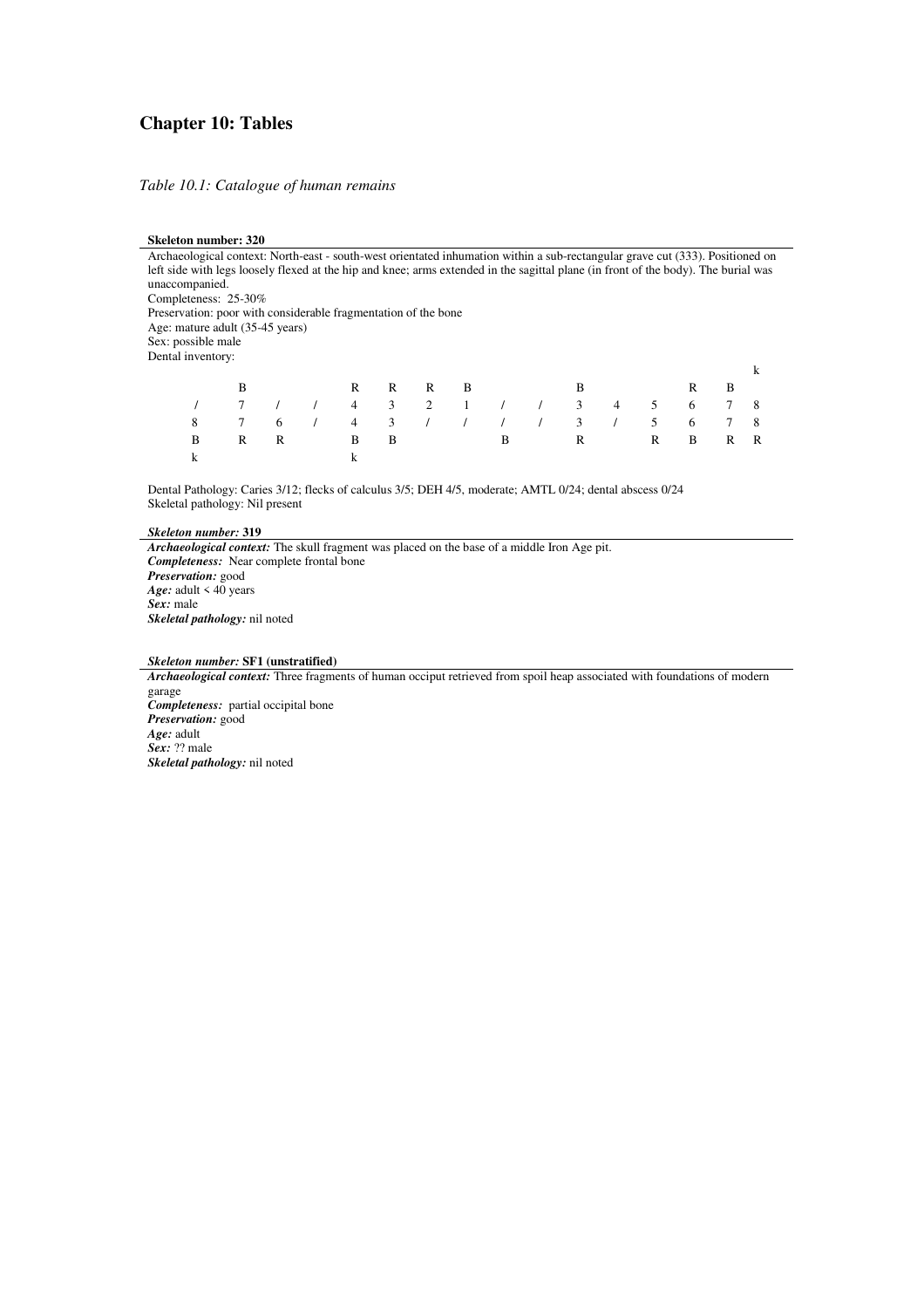#### **Chapter 10: Tables**

*Table 10.1: Catalogue of human remains* 

#### **Skeleton number: 320**

| Archaeological context: North-east - south-west orientated inhumation within a sub-rectangular grave cut (333). Positioned on      |   |   |   |               |   |   |   |   |   |   |   |   |
|------------------------------------------------------------------------------------------------------------------------------------|---|---|---|---------------|---|---|---|---|---|---|---|---|
| left side with legs loosely flexed at the hip and knee; arms extended in the sagittal plane (in front of the body). The burial was |   |   |   |               |   |   |   |   |   |   |   |   |
| unaccompanied.                                                                                                                     |   |   |   |               |   |   |   |   |   |   |   |   |
| Completeness: 25-30%                                                                                                               |   |   |   |               |   |   |   |   |   |   |   |   |
| Preservation: poor with considerable fragmentation of the bone                                                                     |   |   |   |               |   |   |   |   |   |   |   |   |
| Age: mature adult (35-45 years)                                                                                                    |   |   |   |               |   |   |   |   |   |   |   |   |
| Sex: possible male                                                                                                                 |   |   |   |               |   |   |   |   |   |   |   |   |
| Dental inventory:                                                                                                                  |   |   |   |               |   |   |   |   |   |   |   |   |
|                                                                                                                                    |   |   |   |               |   |   |   |   |   |   |   |   |
|                                                                                                                                    | B |   | R | R             | R | B |   | B |   | R | B |   |
|                                                                                                                                    |   |   | 4 | 3             | 2 |   |   |   |   | 6 |   | 8 |
| 8                                                                                                                                  |   | 6 | 4 | $\mathcal{F}$ |   |   |   |   | 5 | 6 |   | 8 |
| B                                                                                                                                  | R | R | B | B             |   |   | B | R | R | B |   | R |

Dental Pathology: Caries 3/12; flecks of calculus 3/5; DEH 4/5, moderate; AMTL 0/24; dental abscess 0/24 Skeletal pathology: Nil present

*Skeleton number:* **319**

*Archaeological context:* The skull fragment was placed on the base of a middle Iron Age pit. *Completeness:*Near complete frontal bone *Preservation:* good *Age:* adult < 40 years *Sex:* male *Skeletal pathology:* nil noted

*Skeleton number:* **SF1 (unstratified)**

k k

*Archaeological context:* Three fragments of human occiput retrieved from spoil heap associated with foundations of modern garage *Completeness:*partial occipital bone *Preservation:* good *Age:* adult *Sex:* ?? male *Skeletal pathology:* nil noted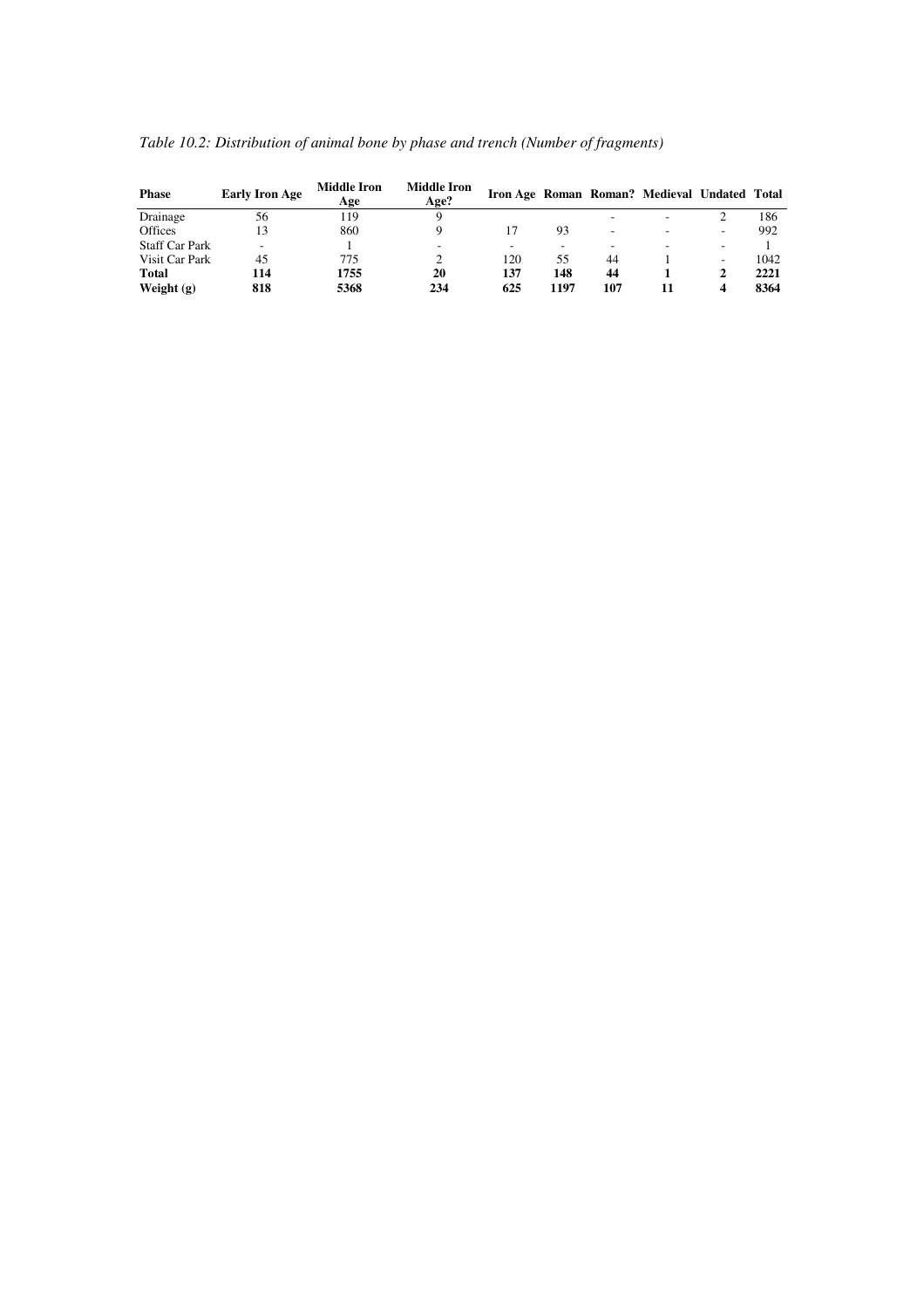| Table 10.2: Distribution of animal bone by phase and trench (Number of fragments) |  |
|-----------------------------------------------------------------------------------|--|
|                                                                                   |  |

| <b>Phase</b>          | <b>Early Iron Age</b> | <b>Middle Iron</b><br>Age | <b>Middle Iron</b><br>Age? |     |      |     | Iron Age Roman Roman? Medieval Undated Total |   |      |
|-----------------------|-----------------------|---------------------------|----------------------------|-----|------|-----|----------------------------------------------|---|------|
| Drainage              | 56                    | 119                       |                            |     |      |     |                                              |   | 186  |
| <b>Offices</b>        | 13                    | 860                       |                            |     | 93   |     | -                                            |   | 992  |
| <b>Staff Car Park</b> |                       |                           |                            |     |      |     |                                              |   |      |
| Visit Car Park        | 45                    | 775                       |                            | 120 | 55   | 44  |                                              |   | 1042 |
| <b>Total</b>          | 114                   | 1755                      | 20                         | 137 | 148  | 44  |                                              |   | 2221 |
| Weight $(g)$          | 818                   | 5368                      | 234                        | 625 | 1197 | 107 |                                              | 4 | 8364 |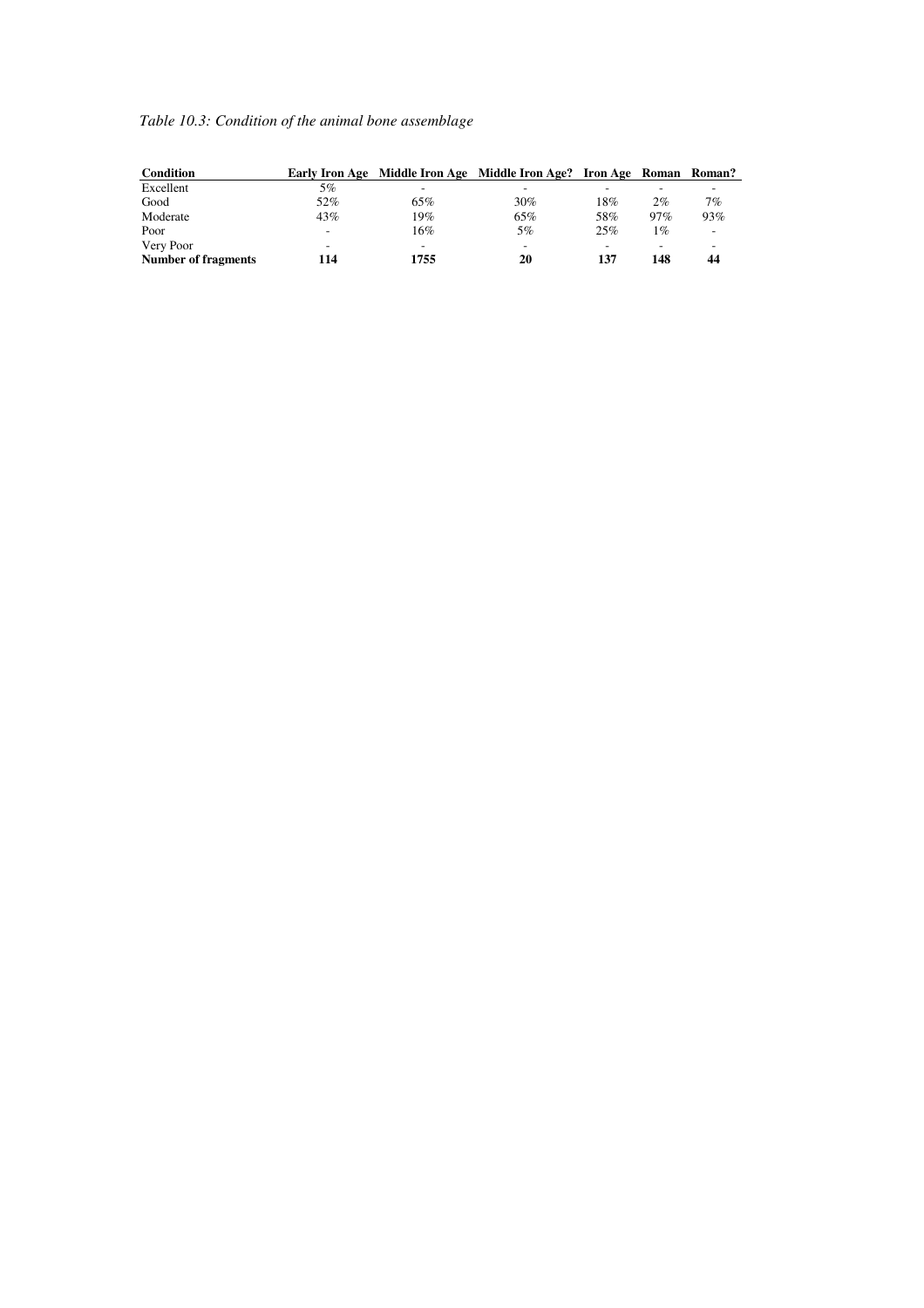# *Table 10.3: Condition of the animal bone assemblage*

| Condition                  |     |      | Early Iron Age Middle Iron Age Middle Iron Age? Iron Age Roman Roman? |     |       |     |
|----------------------------|-----|------|-----------------------------------------------------------------------|-----|-------|-----|
| Excellent                  | 5%  |      |                                                                       |     |       |     |
| Good                       | 52% | 65%  | 30%                                                                   | 18% | 2%    | 7%  |
| Moderate                   | 43% | 19%  | 65%                                                                   | 58% | 97%   | 93% |
| Poor                       | -   | 16%  | 5%                                                                    | 25% | $1\%$ | -   |
| Very Poor                  | -   |      | -                                                                     |     |       | -   |
| <b>Number of fragments</b> | 114 | 1755 | 20                                                                    | 137 | 148   | 44  |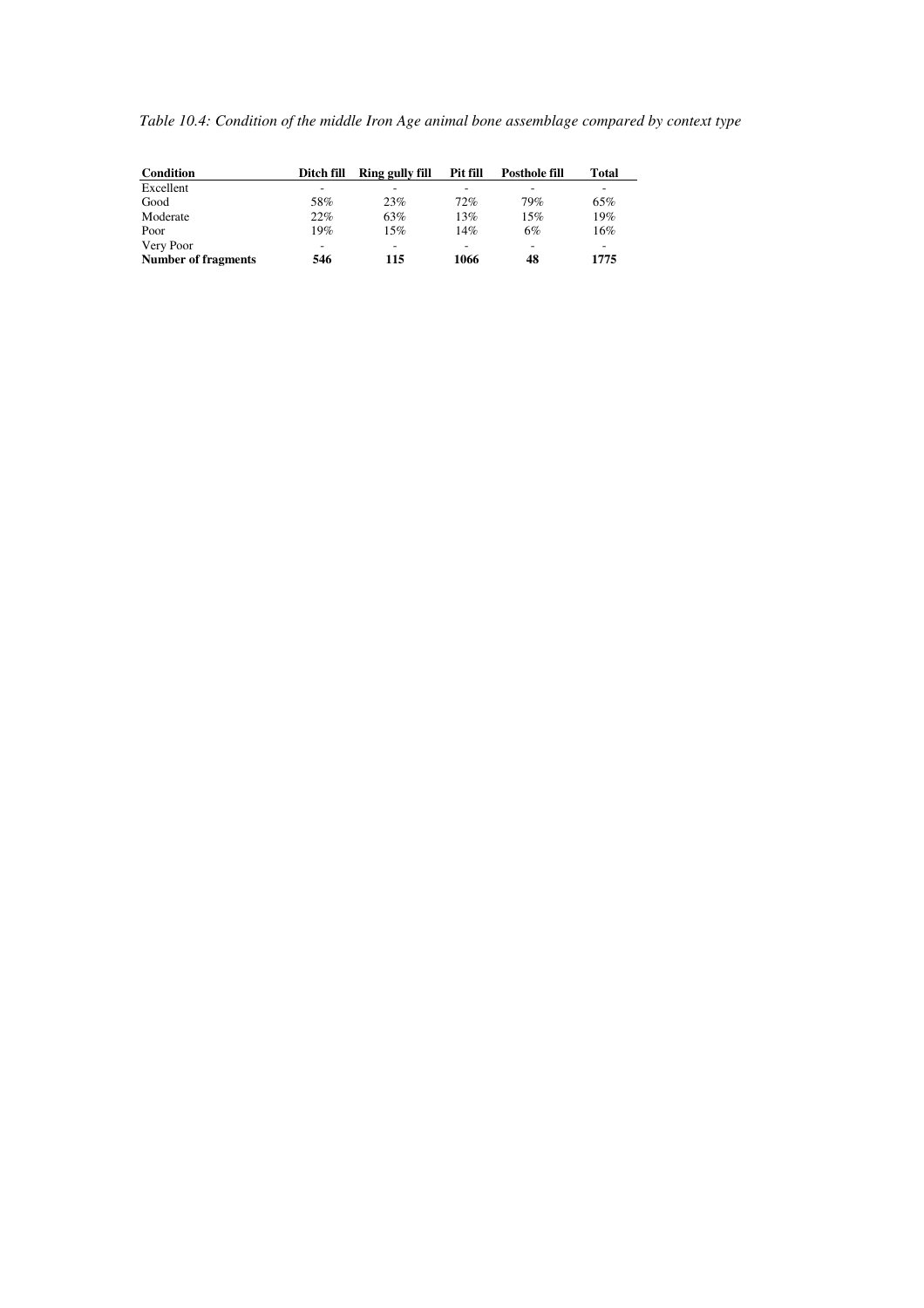|  |  | Table 10.4: Condition of the middle Iron Age animal bone assemblage compared by context type |
|--|--|----------------------------------------------------------------------------------------------|
|--|--|----------------------------------------------------------------------------------------------|

| Condition                  | Ditch fill | Ring gully fill | <b>Pit fill</b> | <b>Posthole fill</b> | Total |
|----------------------------|------------|-----------------|-----------------|----------------------|-------|
| Excellent                  |            |                 |                 |                      |       |
| Good                       | 58%        | 23%             | 72%             | 79%                  | 65%   |
| Moderate                   | 22%        | 63%             | 13%             | 15%                  | 19%   |
| Poor                       | 19%        | 15%             | 14%             | 6%                   | 16%   |
| Very Poor                  |            | -               | -               | -                    | -     |
| <b>Number of fragments</b> | 546        | 115             | 1066            | 48                   | 1775  |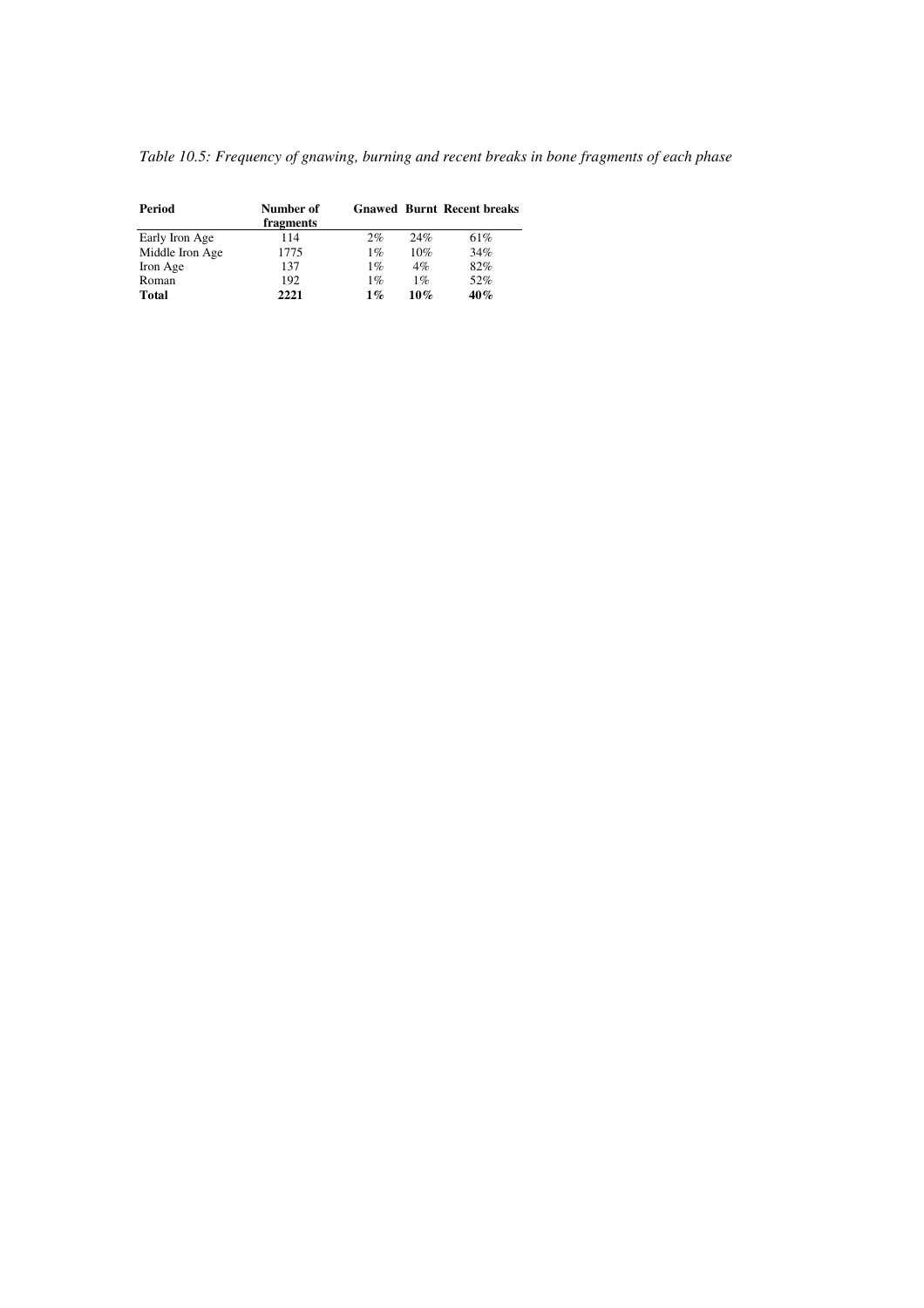|  |  | Table 10.5: Frequency of gnawing, burning and recent breaks in bone fragments of each phase |  |  |
|--|--|---------------------------------------------------------------------------------------------|--|--|
|  |  |                                                                                             |  |  |

| Period          | Number of<br>fragments |       |       | <b>Gnawed Burnt Recent breaks</b> |
|-----------------|------------------------|-------|-------|-----------------------------------|
| Early Iron Age  | 114                    | 2%    | 24%   | 61%                               |
| Middle Iron Age | 1775                   | 1%    | 10%   | 34%                               |
| Iron Age        | 137                    | 1%    | 4%    | 82%                               |
| Roman           | 192                    | 1%    | $1\%$ | 52%                               |
| <b>Total</b>    | 2221                   | $1\%$ | 10%   | 40%                               |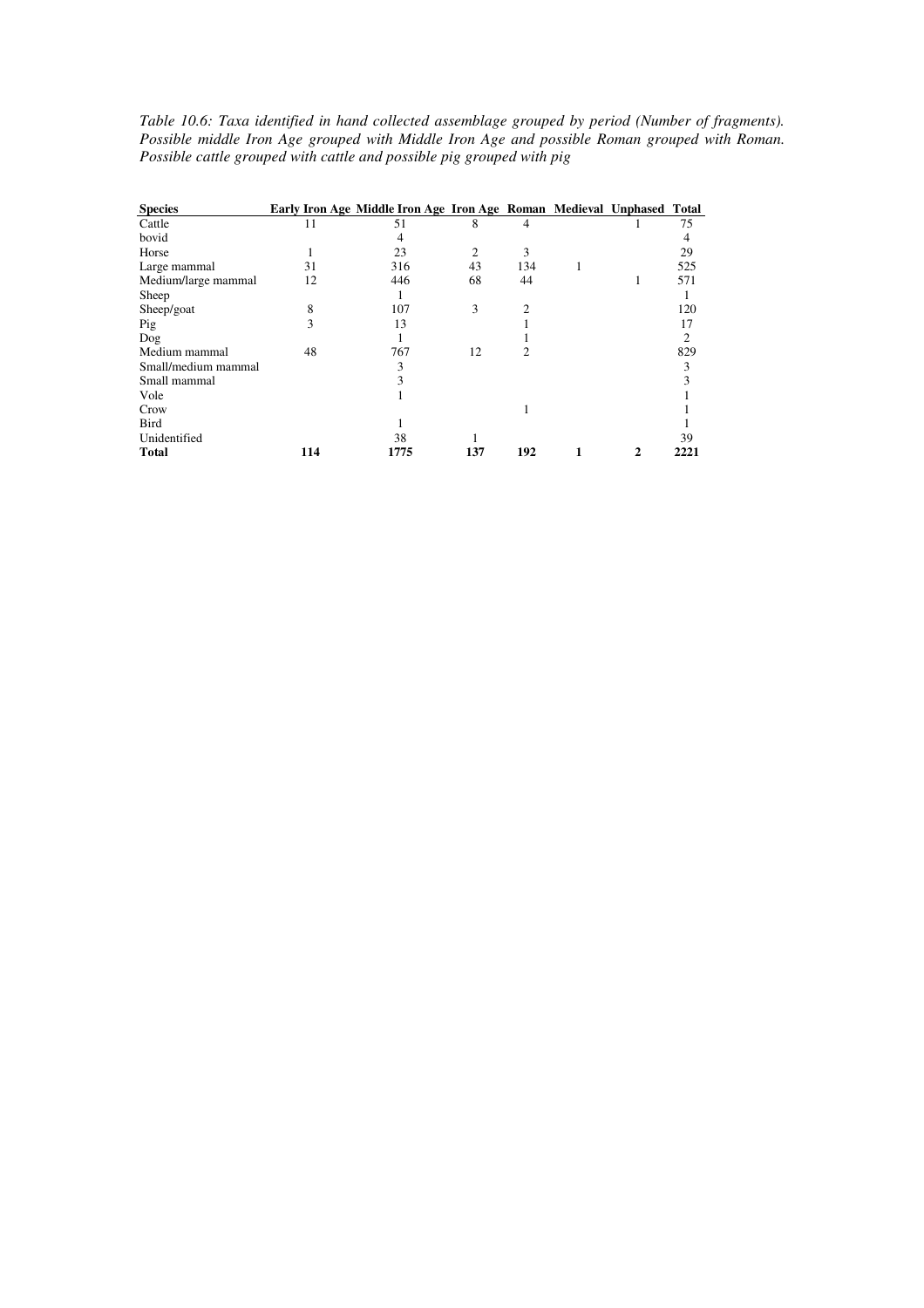*Table 10.6: Taxa identified in hand collected assemblage grouped by period (Number of fragments). Possible middle Iron Age grouped with Middle Iron Age and possible Roman grouped with Roman. Possible cattle grouped with cattle and possible pig grouped with pig* 

| <b>Species</b>      |     | Early Iron Age Middle Iron Age Iron Age Roman Medieval Unphased Total |                |     |   |      |
|---------------------|-----|-----------------------------------------------------------------------|----------------|-----|---|------|
| Cattle              | 11  | 51                                                                    | 8              | 4   |   | 75   |
| bovid               |     | 4                                                                     |                |     |   | 4    |
| Horse               |     | 23                                                                    | $\overline{2}$ | 3   |   | 29   |
| Large mammal        | 31  | 316                                                                   | 43             | 134 |   | 525  |
| Medium/large mammal | 12  | 446                                                                   | 68             | 44  |   | 571  |
| Sheep               |     |                                                                       |                |     |   |      |
| Sheep/goat          | 8   | 107                                                                   | 3              | っ   |   | 120  |
| Pig                 | 3   | 13                                                                    |                |     |   | 17   |
| Dog                 |     |                                                                       |                |     |   | 2    |
| Medium mammal       | 48  | 767                                                                   | 12             | 2   |   | 829  |
| Small/medium mammal |     | 3                                                                     |                |     |   | 3    |
| Small mammal        |     |                                                                       |                |     |   |      |
| Vole                |     |                                                                       |                |     |   |      |
| Crow                |     |                                                                       |                |     |   |      |
| <b>Bird</b>         |     |                                                                       |                |     |   |      |
| Unidentified        |     | 38                                                                    |                |     |   | 39   |
| <b>Total</b>        | 114 | 1775                                                                  | 137            | 192 | 2 | 2221 |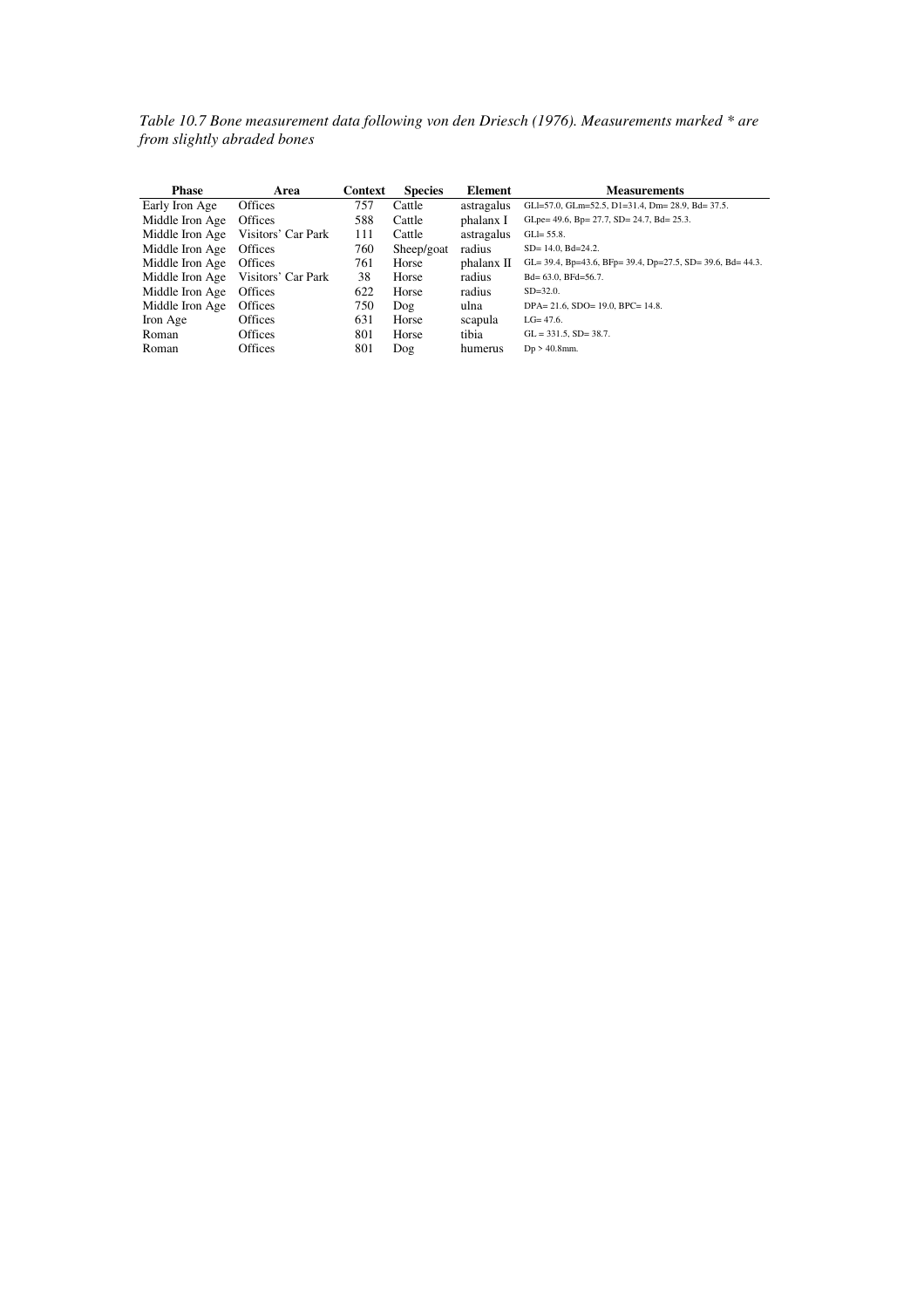*Table 10.7 Bone measurement data following von den Driesch (1976). Measurements marked \* are from slightly abraded bones* 

| <b>Phase</b>    | Area               | Context | <b>Species</b> | Element    | <b>Measurements</b>                                        |
|-----------------|--------------------|---------|----------------|------------|------------------------------------------------------------|
| Early Iron Age  | <b>Offices</b>     | 757     | Cattle         | astragalus | GLI=57.0, GLm=52.5, D1=31.4, Dm= 28.9, Bd= 37.5.           |
| Middle Iron Age | Offices            | 588     | Cattle         | phalanx I  | GLpe= 49.6, Bp= 27.7, SD= 24.7, Bd= 25.3.                  |
| Middle Iron Age | Visitors' Car Park | 111     | Cattle         | astragalus | $GLI = 55.8$ .                                             |
| Middle Iron Age | <b>Offices</b>     | 760     | Sheep/goat     | radius     | $SD = 14.0$ , $Bd = 24.2$ .                                |
| Middle Iron Age | <b>Offices</b>     | 761     | Horse          | phalanx II | GL= 39.4, Bp=43.6, BFp= 39.4, Dp=27.5, SD= 39.6, Bd= 44.3. |
| Middle Iron Age | Visitors' Car Park | 38      | Horse          | radius     | Bd= 63.0, BFd=56.7.                                        |
| Middle Iron Age | <b>Offices</b>     | 622     | Horse          | radius     | $SD = 32.0$ .                                              |
| Middle Iron Age | <b>Offices</b>     | 750     | $\log$         | ulna       | DPA= 21.6, SDO= 19.0, BPC= 14.8.                           |
| Iron Age        | <b>Offices</b>     | 631     | Horse          | scapula    | $LG = 47.6$ .                                              |
| Roman           | <b>Offices</b>     | 801     | Horse          | tibia      | $GL = 331.5$ , $SD = 38.7$ .                               |
| Roman           | Offices            | 801     | Dog            | humerus    | $Dp > 40.8$ mm.                                            |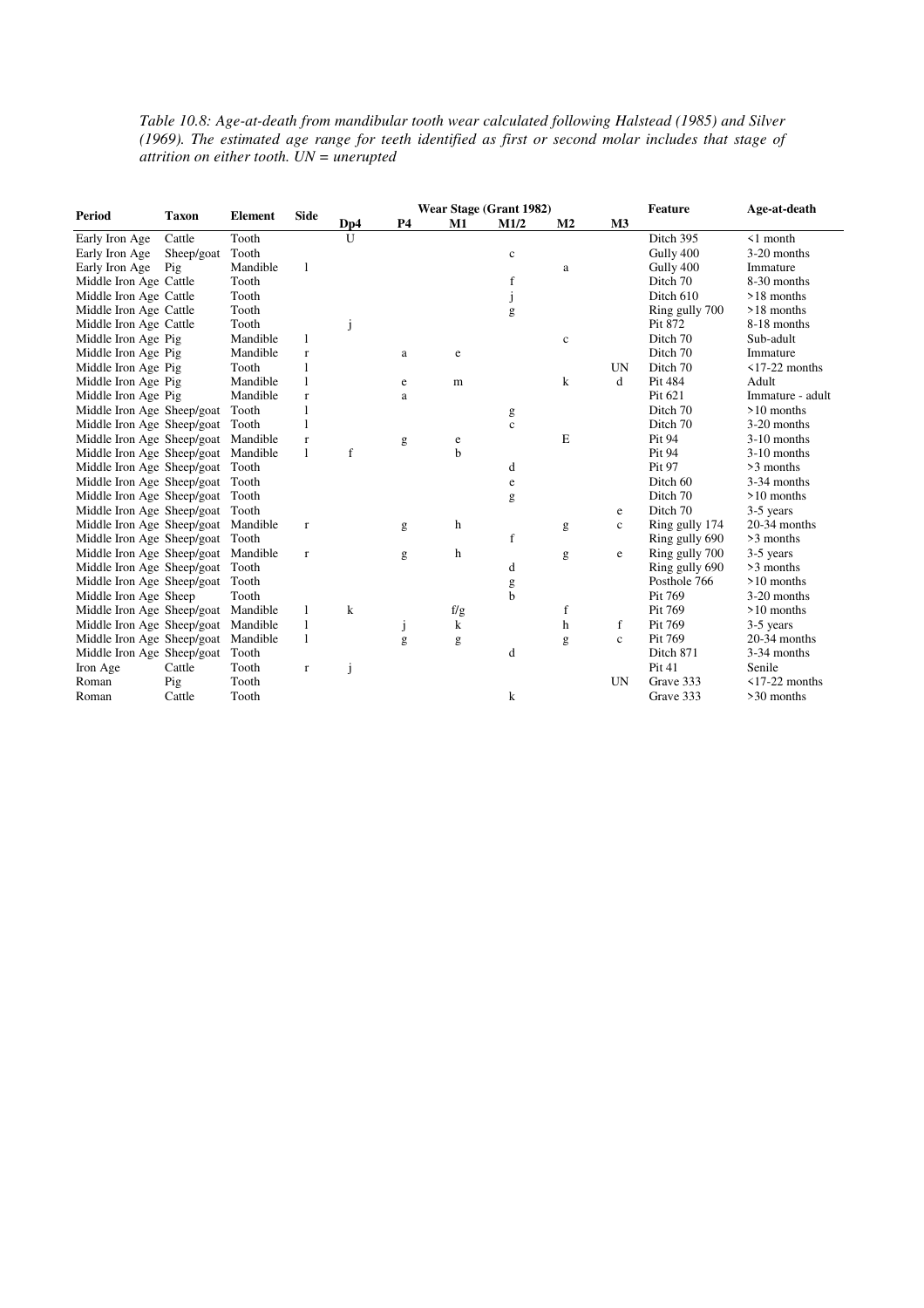*Table 10.8: Age-at-death from mandibular tooth wear calculated following Halstead (1985) and Silver (1969). The estimated age range for teeth identified as first or second molar includes that stage of attrition on either tooth. UN = unerupted* 

|                            |              |                |              | Wear Stage (Grant 1982) |           |     | <b>Feature</b> | Age-at-death   |                |                |                     |
|----------------------------|--------------|----------------|--------------|-------------------------|-----------|-----|----------------|----------------|----------------|----------------|---------------------|
| Period                     | <b>Taxon</b> | <b>Element</b> | <b>Side</b>  | Dp4                     | <b>P4</b> | M1  | M1/2           | M <sub>2</sub> | M <sub>3</sub> |                |                     |
| Early Iron Age             | Cattle       | Tooth          |              | U                       |           |     |                |                |                | Ditch 395      | $\leq 1$ month      |
| Early Iron Age             | Sheep/goat   | Tooth          |              |                         |           |     | $\mathbf c$    |                |                | Gully 400      | 3-20 months         |
| Early Iron Age             | Pig          | Mandible       | 1            |                         |           |     |                | a              |                | Gully 400      | Immature            |
| Middle Iron Age Cattle     |              | Tooth          |              |                         |           |     | f              |                |                | Ditch 70       | 8-30 months         |
| Middle Iron Age Cattle     |              | Tooth          |              |                         |           |     | J              |                |                | Ditch 610      | $>18$ months        |
| Middle Iron Age Cattle     |              | Tooth          |              |                         |           |     | g              |                |                | Ring gully 700 | >18 months          |
| Middle Iron Age Cattle     |              | Tooth          |              | j                       |           |     |                |                |                | Pit 872        | 8-18 months         |
| Middle Iron Age Pig        |              | Mandible       | 1            |                         |           |     |                | $\mathbf c$    |                | Ditch 70       | Sub-adult           |
| Middle Iron Age Pig        |              | Mandible       | $\mathbf r$  |                         | a         | e   |                |                |                | Ditch 70       | Immature            |
| Middle Iron Age Pig        |              | Tooth          | 1            |                         |           |     |                |                | <b>UN</b>      | Ditch 70       | $\leq$ 17-22 months |
| Middle Iron Age Pig        |              | Mandible       | $\mathbf{1}$ |                         | e         | m   |                | $\bf k$        | d              | Pit 484        | Adult               |
| Middle Iron Age Pig        |              | Mandible       | $\mathbf r$  |                         | a         |     |                |                |                | Pit 621        | Immature - adult    |
| Middle Iron Age Sheep/goat |              | Tooth          | $\mathbf{1}$ |                         |           |     | g              |                |                | Ditch 70       | $>10$ months        |
| Middle Iron Age Sheep/goat |              | Tooth          | 1            |                         |           |     | $\mathbf c$    |                |                | Ditch 70       | 3-20 months         |
| Middle Iron Age Sheep/goat |              | Mandible       | $\mathbf r$  |                         | g         | e   |                | E              |                | Pit 94         | 3-10 months         |
| Middle Iron Age Sheep/goat |              | Mandible       | $\mathbf{1}$ | f                       |           | b   |                |                |                | Pit 94         | 3-10 months         |
| Middle Iron Age Sheep/goat |              | Tooth          |              |                         |           |     | d              |                |                | Pit 97         | >3 months           |
| Middle Iron Age Sheep/goat |              | Tooth          |              |                         |           |     | $\mathbf e$    |                |                | Ditch 60       | 3-34 months         |
| Middle Iron Age Sheep/goat |              | Tooth          |              |                         |           |     | g              |                |                | Ditch 70       | $>10$ months        |
| Middle Iron Age Sheep/goat |              | Tooth          |              |                         |           |     |                |                | e              | Ditch 70       | 3-5 years           |
| Middle Iron Age Sheep/goat |              | Mandible       | $\mathbf r$  |                         | g         | h   |                | g              | $\mathbf c$    | Ring gully 174 | 20-34 months        |
| Middle Iron Age Sheep/goat |              | Tooth          |              |                         |           |     | $\mathbf f$    |                |                | Ring gully 690 | >3 months           |
| Middle Iron Age Sheep/goat |              | Mandible       | $\mathbf r$  |                         | g         | h   |                | g              | $\mathbf e$    | Ring gully 700 | 3-5 years           |
| Middle Iron Age Sheep/goat |              | Tooth          |              |                         |           |     | d              |                |                | Ring gully 690 | >3 months           |
| Middle Iron Age Sheep/goat |              | Tooth          |              |                         |           |     | g              |                |                | Posthole 766   | $>10$ months        |
| Middle Iron Age Sheep      |              | Tooth          |              |                         |           |     | b              |                |                | Pit 769        | 3-20 months         |
| Middle Iron Age Sheep/goat |              | Mandible       | 1            | $\mathbf k$             |           | f/g |                | f              |                | Pit 769        | $>10$ months        |
| Middle Iron Age Sheep/goat |              | Mandible       | $\mathbf{1}$ |                         |           | k   |                | $\mathbf h$    | f              | Pit 769        | 3-5 years           |
| Middle Iron Age Sheep/goat |              | Mandible       | 1            |                         | g         | g   |                | g              | $\mathbf{c}$   | Pit 769        | 20-34 months        |
| Middle Iron Age Sheep/goat |              | Tooth          |              |                         |           |     | d              |                |                | Ditch 871      | 3-34 months         |
| Iron Age                   | Cattle       | Tooth          | $\mathbf r$  | j                       |           |     |                |                |                | Pit 41         | Senile              |
| Roman                      | Pig          | Tooth          |              |                         |           |     |                |                | <b>UN</b>      | Grave 333      | $\leq$ 17-22 months |
| Roman                      | Cattle       | Tooth          |              |                         |           |     | k              |                |                | Grave 333      | >30 months          |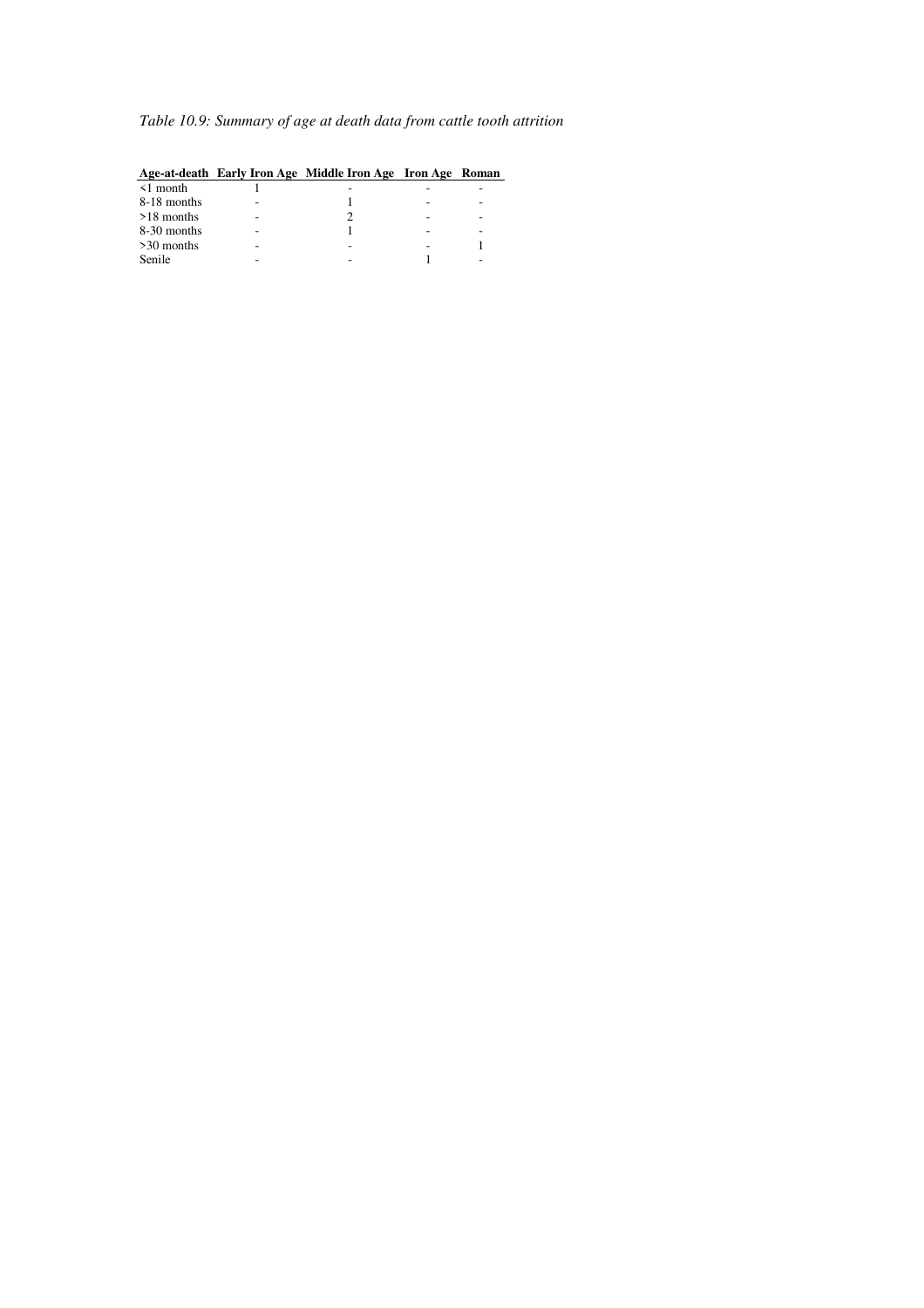# *Table 10.9: Summary of age at death data from cattle tooth attrition*

| $\leq 1$ month | - | ۰ |  |
|----------------|---|---|--|
| 8-18 months    |   | - |  |
| $>18$ months   |   | ۰ |  |
| 8-30 months    |   | - |  |
| $>30$ months   |   |   |  |
| Senile         |   |   |  |
|                |   |   |  |

#### **Age-at-death Early Iron Age Middle Iron Age Iron Age Roman**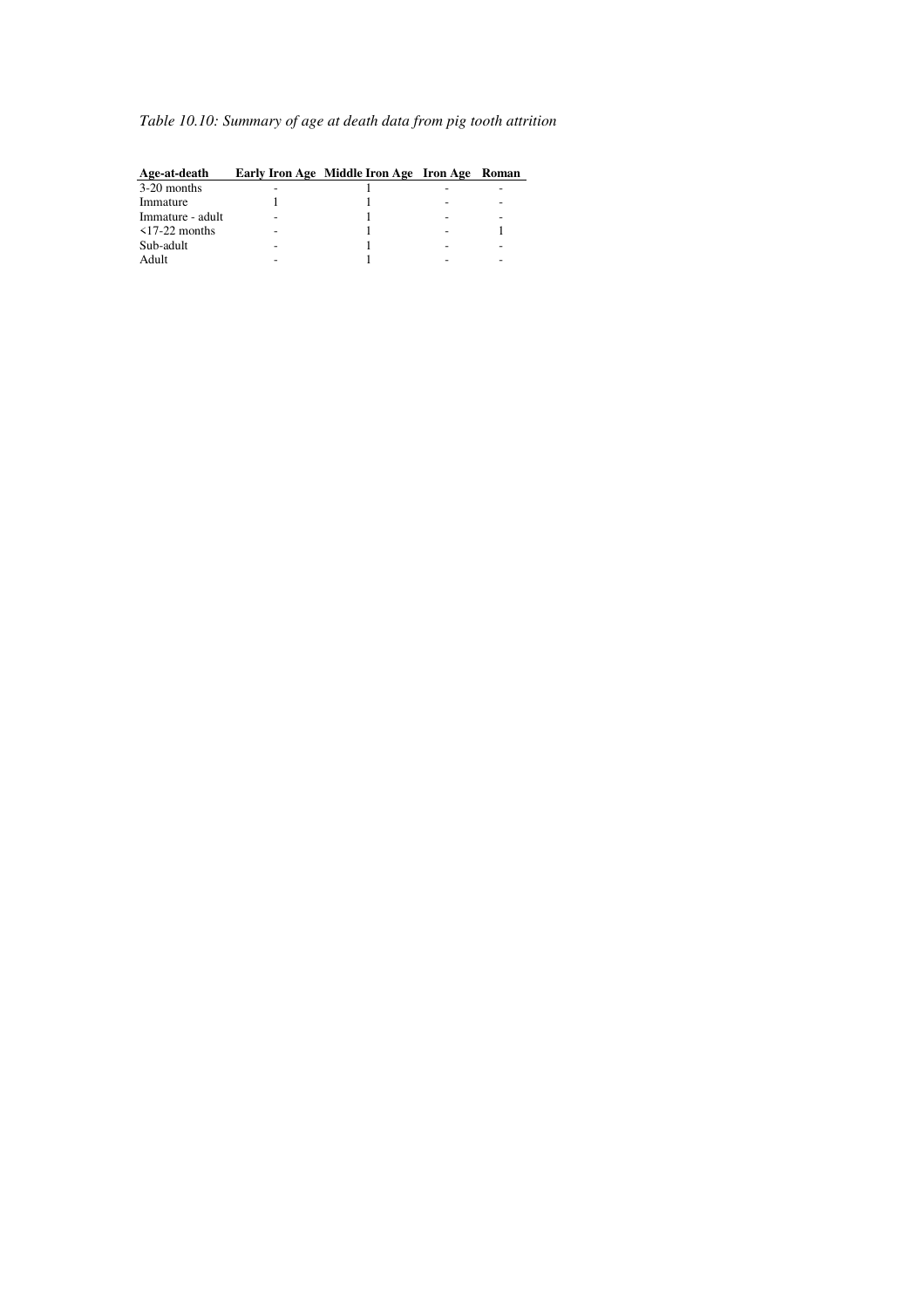# *Table 10.10: Summary of age at death data from pig tooth attrition*

| Age-at-death        | Early Iron Age Middle Iron Age Iron Age Roman |  |
|---------------------|-----------------------------------------------|--|
| 3-20 months         |                                               |  |
| Immature            |                                               |  |
| Immature - adult    |                                               |  |
| $\leq$ 17-22 months |                                               |  |
| Sub-adult           |                                               |  |
| Adult               |                                               |  |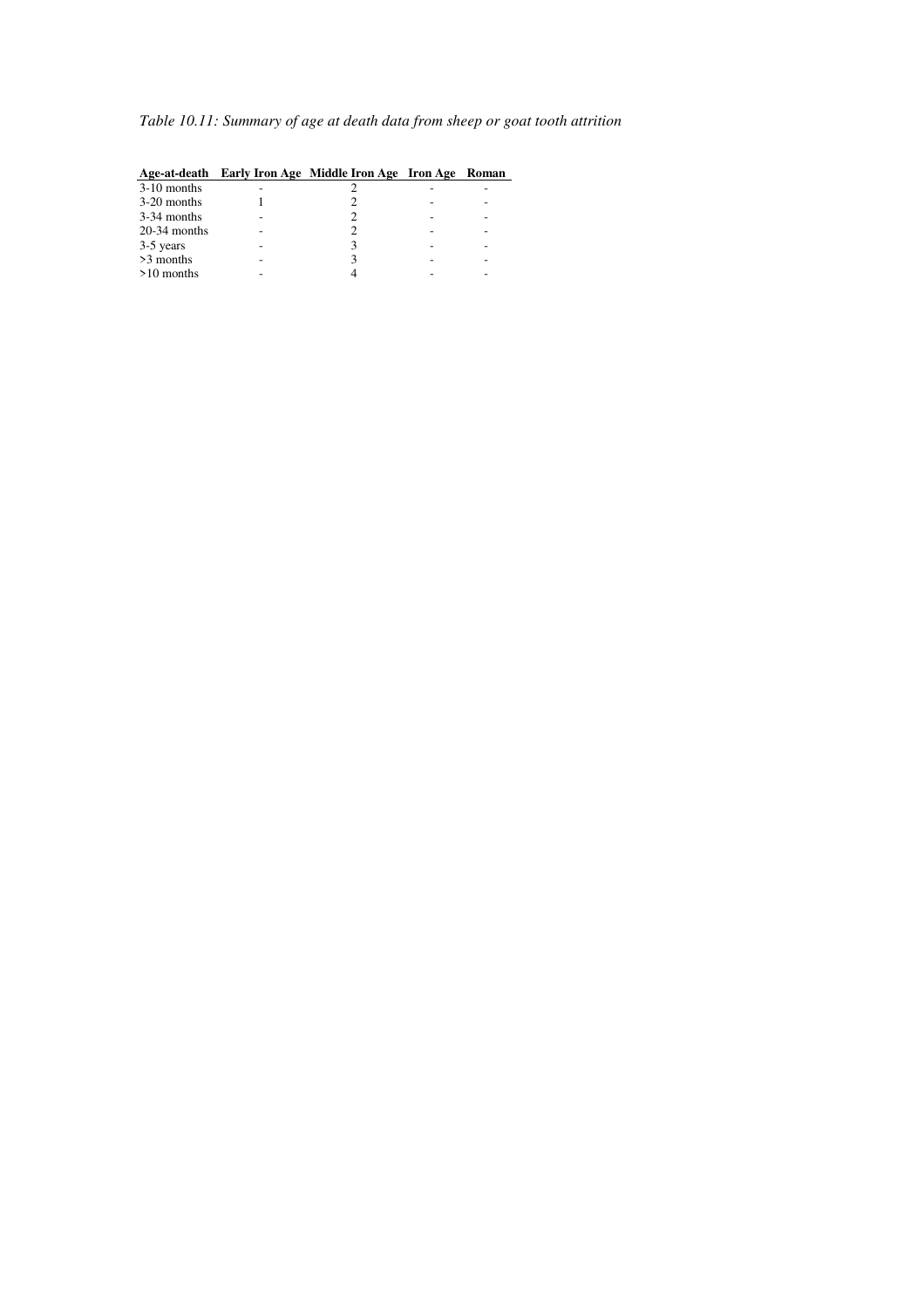# *Table 10.11: Summary of age at death data from sheep or goat tooth attrition*

| $3-10$ months  |  |  |
|----------------|--|--|
| 3-20 months    |  |  |
| 3-34 months    |  |  |
| $20-34$ months |  |  |
| 3-5 years      |  |  |
| >3 months      |  |  |
| $>10$ months   |  |  |
|                |  |  |

#### **Age-at-death Early Iron Age Middle Iron Age Iron Age Roman**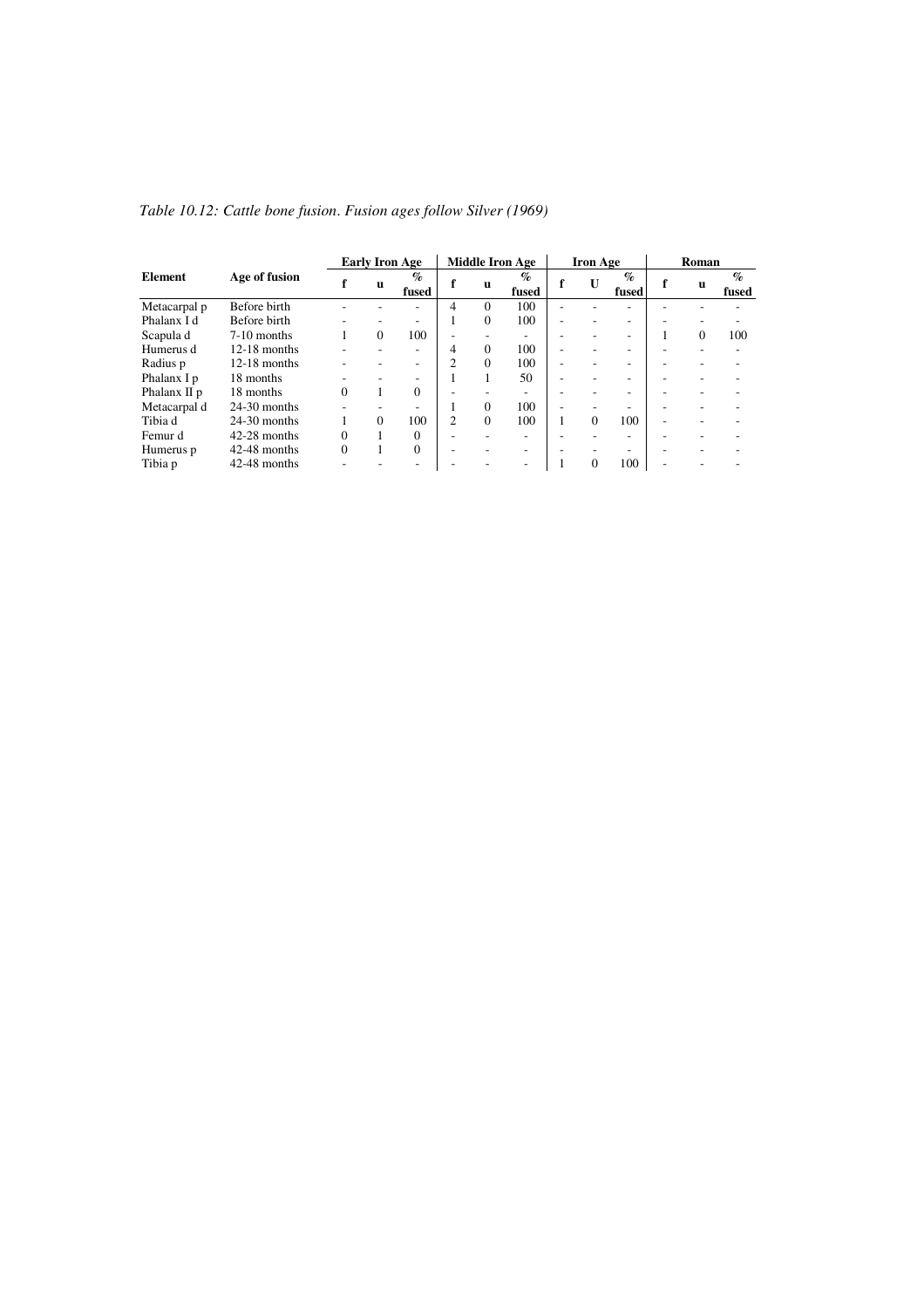|                 |                |          | <b>Early Iron Age</b> | <b>Middle Iron Age</b>             |                |          | <b>Iron Age</b>                      |   |          | Roman                    |  |   |                                 |
|-----------------|----------------|----------|-----------------------|------------------------------------|----------------|----------|--------------------------------------|---|----------|--------------------------|--|---|---------------------------------|
| Element         | Age of fusion  |          | u                     | $\mathcal{O}_\mathcal{D}$<br>fused | f              | u        | $\mathcal{G}_{\mathcal{D}}$<br>fused | f | U        | $\mathcal{O}_0$<br>fused |  | u | $\mathcal{G}_{\Omega}$<br>fused |
| Metacarpal p    | Before birth   |          |                       |                                    | 4              | $\Omega$ | 100                                  |   |          |                          |  |   |                                 |
| Phalanx I d     | Before birth   |          |                       |                                    |                | $\Omega$ | 100                                  | ٠ |          | ۰.                       |  |   |                                 |
| Scapula d       | $7-10$ months  |          | $\Omega$              | 100                                | ٠              |          | ۰                                    |   |          | ٠                        |  | 0 | 100                             |
| Humerus d       | $12-18$ months |          |                       | ۰.                                 | 4              | $\Omega$ | 100                                  | ۰ |          | ٠                        |  |   |                                 |
| Radius p        | $12-18$ months |          |                       | ۰                                  | $\mathfrak{D}$ | $\theta$ | 100                                  | ٠ |          | ÷                        |  |   |                                 |
| Phalanx I p     | 18 months      | ٠        |                       | ۰                                  |                |          | 50                                   | ٠ |          | ۰.                       |  |   |                                 |
| Phalanx $\Pi$ p | 18 months      | $\Omega$ |                       | 0                                  |                |          | ٠                                    |   |          | ٠                        |  |   |                                 |
| Metacarpal d    | $24-30$ months |          |                       |                                    |                | $\Omega$ | 100                                  |   |          |                          |  |   |                                 |
| Tibia d         | $24-30$ months |          | $\Omega$              | 100                                | $\mathfrak{D}$ | $\Omega$ | 100                                  |   | $\Omega$ | 100                      |  |   |                                 |
| Femur d         | $42-28$ months | $\Omega$ |                       | $\Omega$                           |                |          | -                                    |   |          | ۰                        |  |   |                                 |
| Humerus p       | 42-48 months   | $\theta$ |                       | $\Omega$                           | ٠              |          | ۰                                    |   |          | ۰.                       |  |   |                                 |
| Tibia p         | 42-48 months   |          |                       |                                    |                |          | ۰                                    |   | $\Omega$ | 100                      |  |   |                                 |

*Table 10.12: Cattle bone fusion*. *Fusion ages follow Silver (1969)*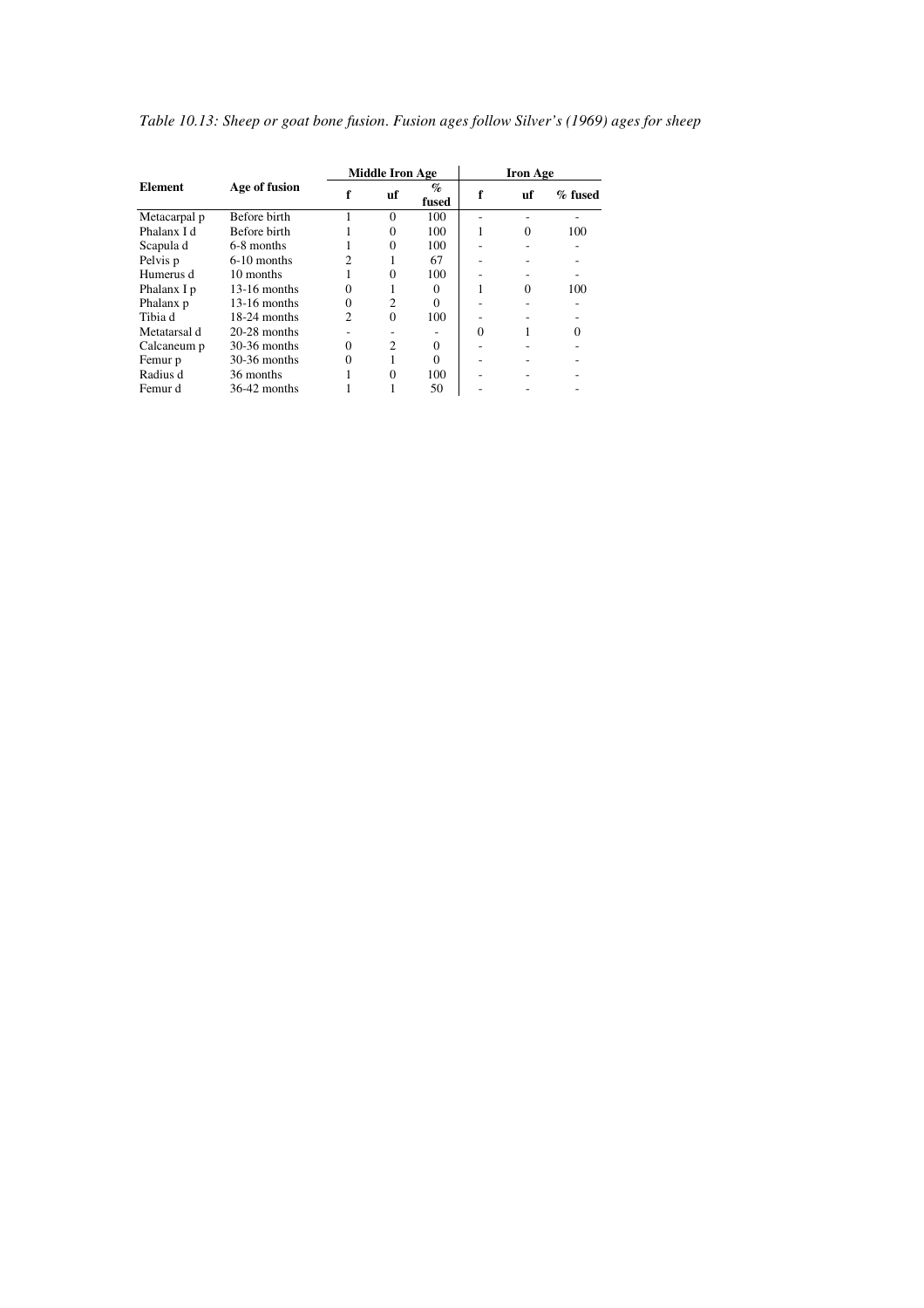|                |                     |               | <b>Middle Iron Age</b> |                                 | <b>Iron Age</b> |          |           |  |
|----------------|---------------------|---------------|------------------------|---------------------------------|-----------------|----------|-----------|--|
| <b>Element</b> | Age of fusion       |               | uf                     | $\mathcal{G}_{\Omega}$<br>fused | f               | uf       | $%$ fused |  |
| Metacarpal p   | <b>Before birth</b> |               | $\Omega$               | 100                             |                 |          |           |  |
| Phalanx I d    | Before birth        |               | $\Omega$               | 100                             |                 | $\Omega$ | 100       |  |
| Scapula d      | 6-8 months          |               | $\Omega$               | 100                             |                 |          |           |  |
| Pelvis p       | $6-10$ months       |               |                        | 67                              |                 |          |           |  |
| Humerus d      | 10 months           |               | $\Omega$               | 100                             |                 |          |           |  |
| Phalanx I p    | $13-16$ months      | $\Omega$      |                        | 0                               |                 | 0        | 100       |  |
| Phalanx p      | $13-16$ months      | $\Omega$      | $\overline{c}$         |                                 |                 |          |           |  |
| Tibia d        | 18-24 months        | $\mathcal{D}$ | $\Omega$               | 100                             |                 |          |           |  |
| Metatarsal d   | $20-28$ months      |               |                        |                                 | $\Omega$        | 1        | $\Omega$  |  |
| Calcaneum p    | $30-36$ months      | $\Omega$      | $\mathfrak{D}$         |                                 |                 |          |           |  |
| Femur p        | $30-36$ months      | $\Omega$      |                        |                                 |                 |          |           |  |
| Radius d       | 36 months           |               | $\Omega$               | 100                             |                 |          |           |  |
| Femur d        | $36-42$ months      |               |                        | 50                              |                 |          |           |  |

*Table 10.13: Sheep or goat bone fusion*. *Fusion ages follow Silver's (1969) ages for sheep*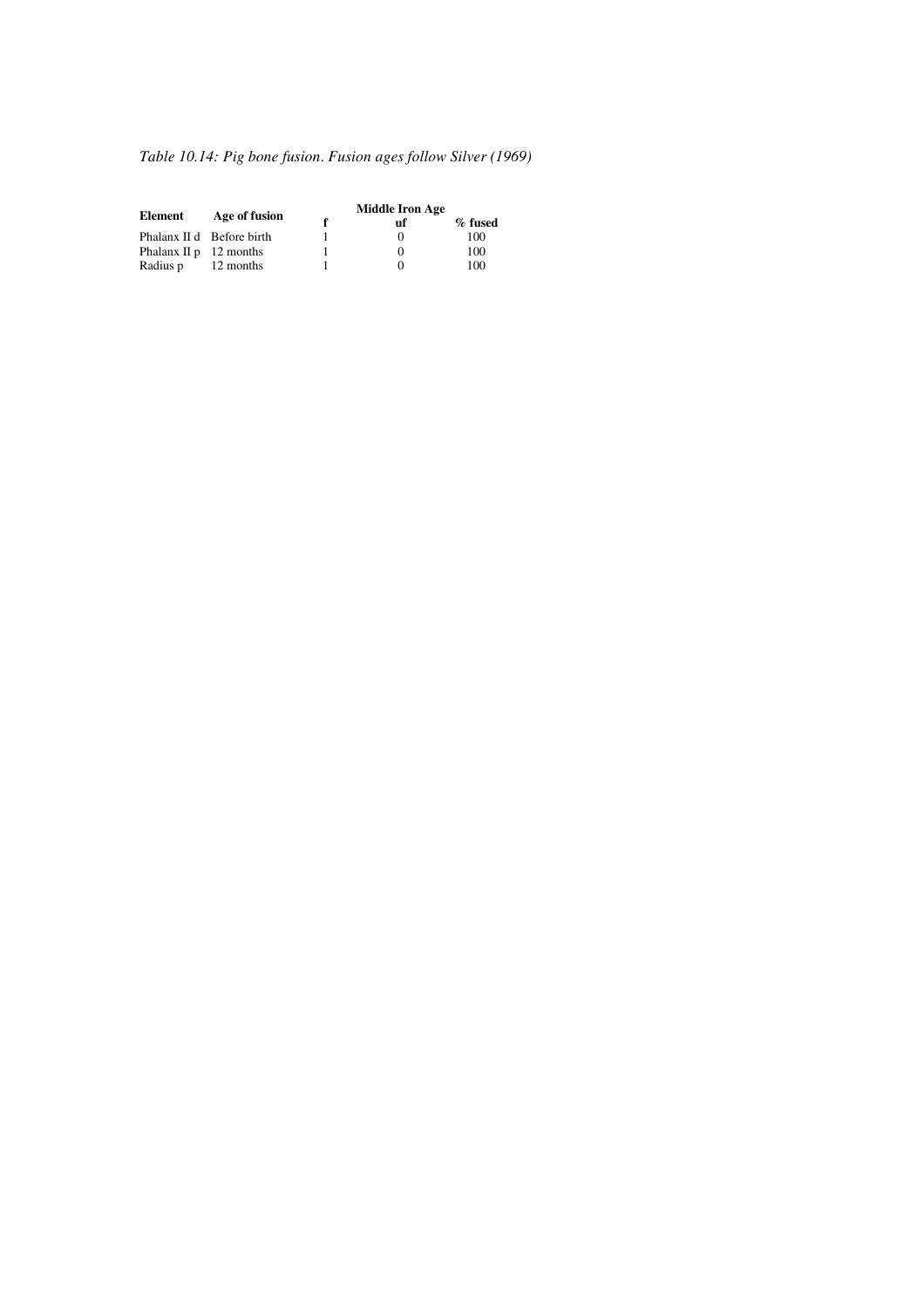# *Table 10.14: Pig bone fusion*. *Fusion ages follow Silver (1969)*

|                           |                           | <b>Middle Iron Age</b> |           |
|---------------------------|---------------------------|------------------------|-----------|
| Element                   | Age of fusion             | uf                     | $%$ fused |
|                           | Phalanx II d Before birth | $^{(1)}$               | 100       |
| Phalanx $\Pi p$ 12 months |                           | 0                      | 100       |
| Radius p                  | 12 months                 |                        | 100       |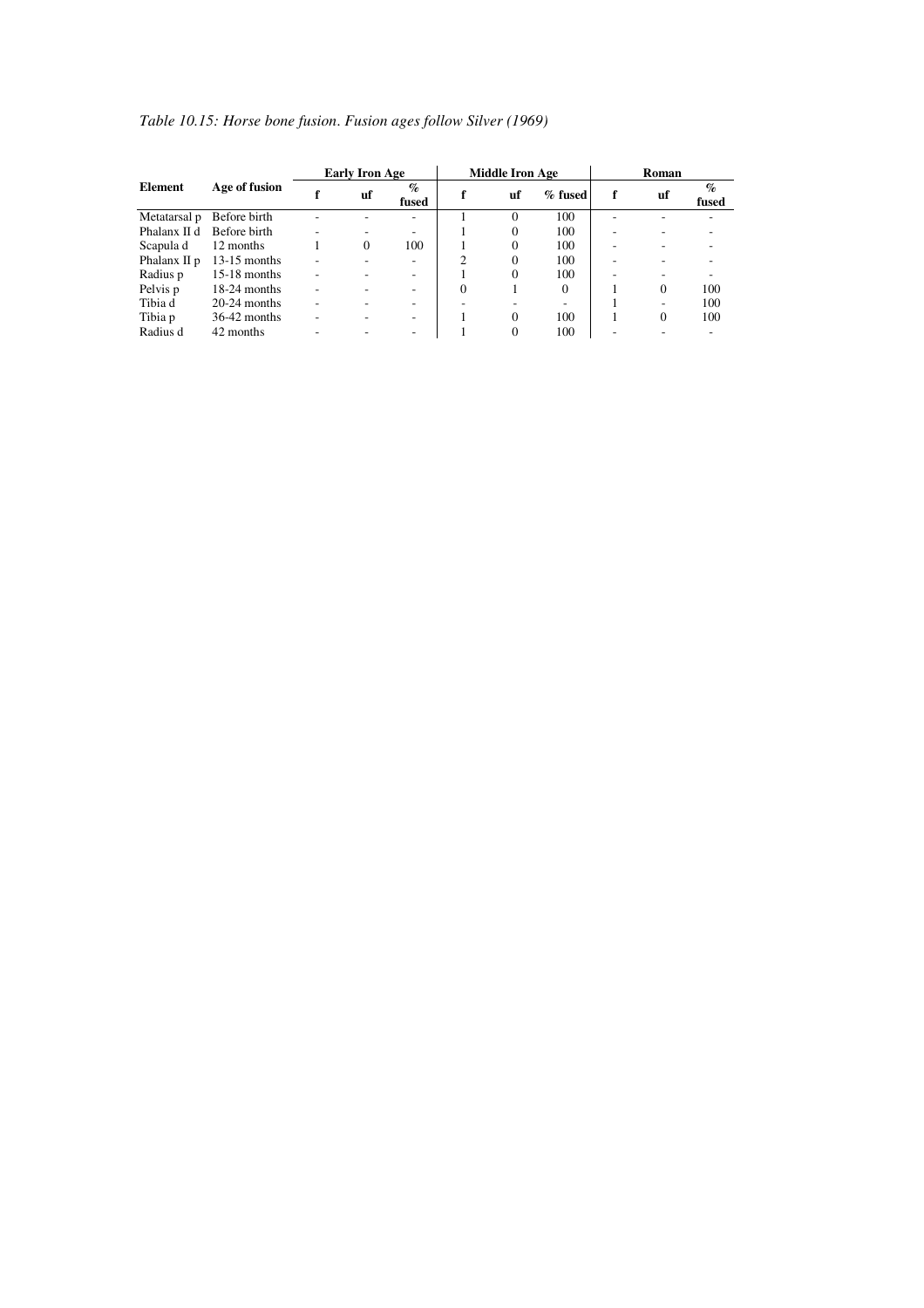|                |                |   | <b>Early Iron Age</b> |               |          | <b>Middle Iron Age</b> |          | Roman |          |                                      |  |
|----------------|----------------|---|-----------------------|---------------|----------|------------------------|----------|-------|----------|--------------------------------------|--|
| <b>Element</b> | Age of fusion  |   | uf                    | $\%$<br>fused |          | uf                     | % fused  |       | uf       | $\mathcal{G}_{\mathcal{O}}$<br>fused |  |
| Metatarsal p   | Before birth   |   |                       |               |          | 0                      | 100      |       |          |                                      |  |
| Phalanx II d   | Before birth   |   |                       |               |          | $\Omega$               | 100      |       |          |                                      |  |
| Scapula d      | 12 months      |   | $\Omega$              | 100           |          | $\Omega$               | 100      |       |          |                                      |  |
| Phalanx II p   | $13-15$ months |   |                       |               |          | $\theta$               | 100      |       |          |                                      |  |
| Radius p       | $15-18$ months |   |                       |               |          | $\theta$               | 100      |       |          |                                      |  |
| Pelvis p       | $18-24$ months | ۰ |                       | ۰             | $\Omega$ |                        | $\Omega$ |       | $\Omega$ | 100                                  |  |
| Tibia d        | $20-24$ months | ۰ |                       |               |          |                        |          |       |          | 100                                  |  |
| Tibia p        | $36-42$ months | ۰ |                       | ۰             |          | $\Omega$               | 100      |       | $\Omega$ | 100                                  |  |
| Radius d       | 42 months      |   |                       |               |          |                        | 100      |       |          |                                      |  |

# *Table 10.15: Horse bone fusion*. *Fusion ages follow Silver (1969)*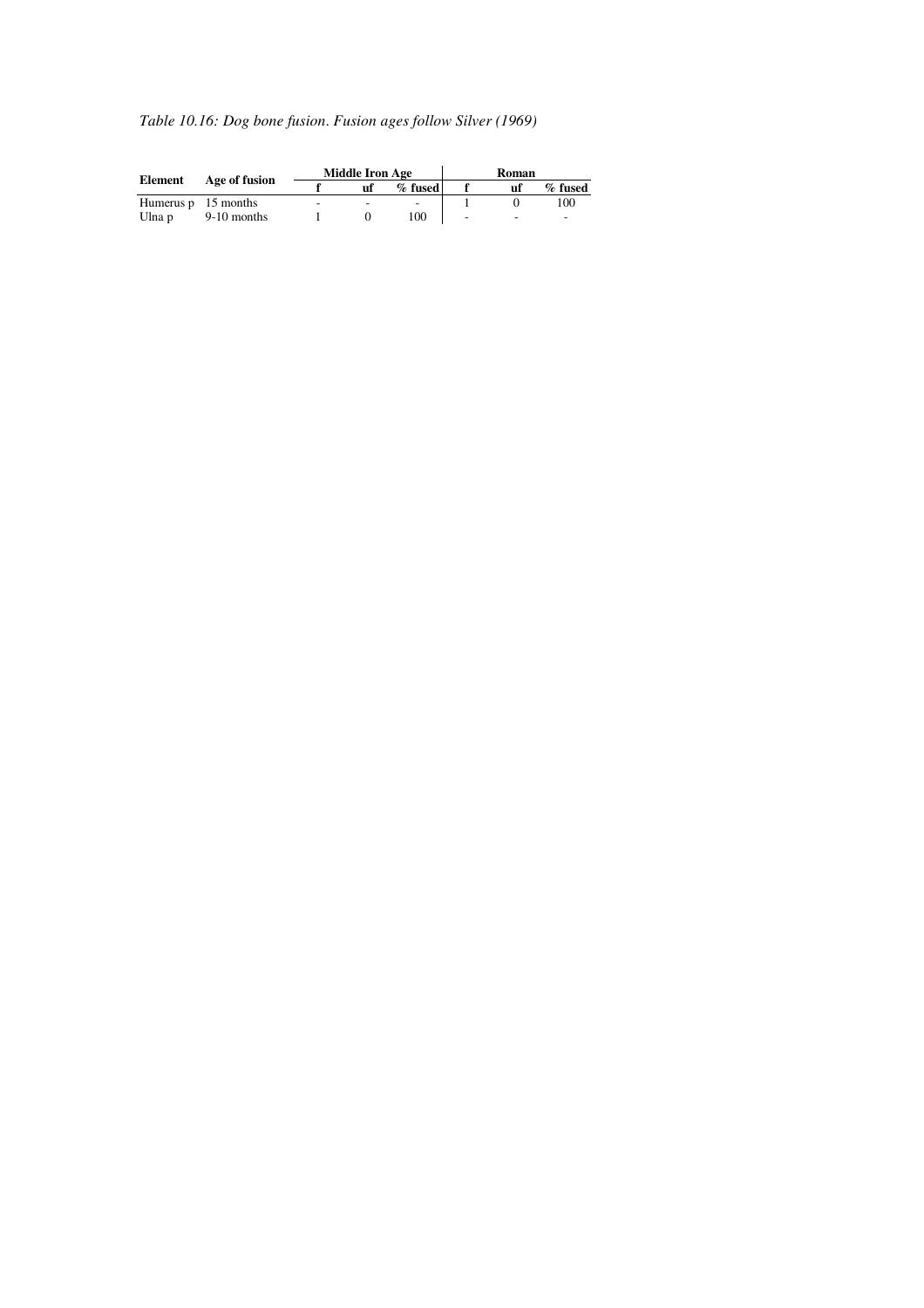# *Table 10.16: Dog bone fusion*. *Fusion ages follow Silver (1969)*

| Element                    |               |                          | <b>Middle Iron Age</b>   |            | Roman |    |           |  |
|----------------------------|---------------|--------------------------|--------------------------|------------|-------|----|-----------|--|
|                            | Age of fusion |                          | uf                       | $\%$ fused |       | uf | $%$ fused |  |
| Humerus $p \neq 15$ months |               | $\overline{\phantom{a}}$ | $\overline{\phantom{a}}$ |            |       |    | 100       |  |
| Ulna p                     | $9-10$ months |                          |                          | 100        | ۰     | -  | -         |  |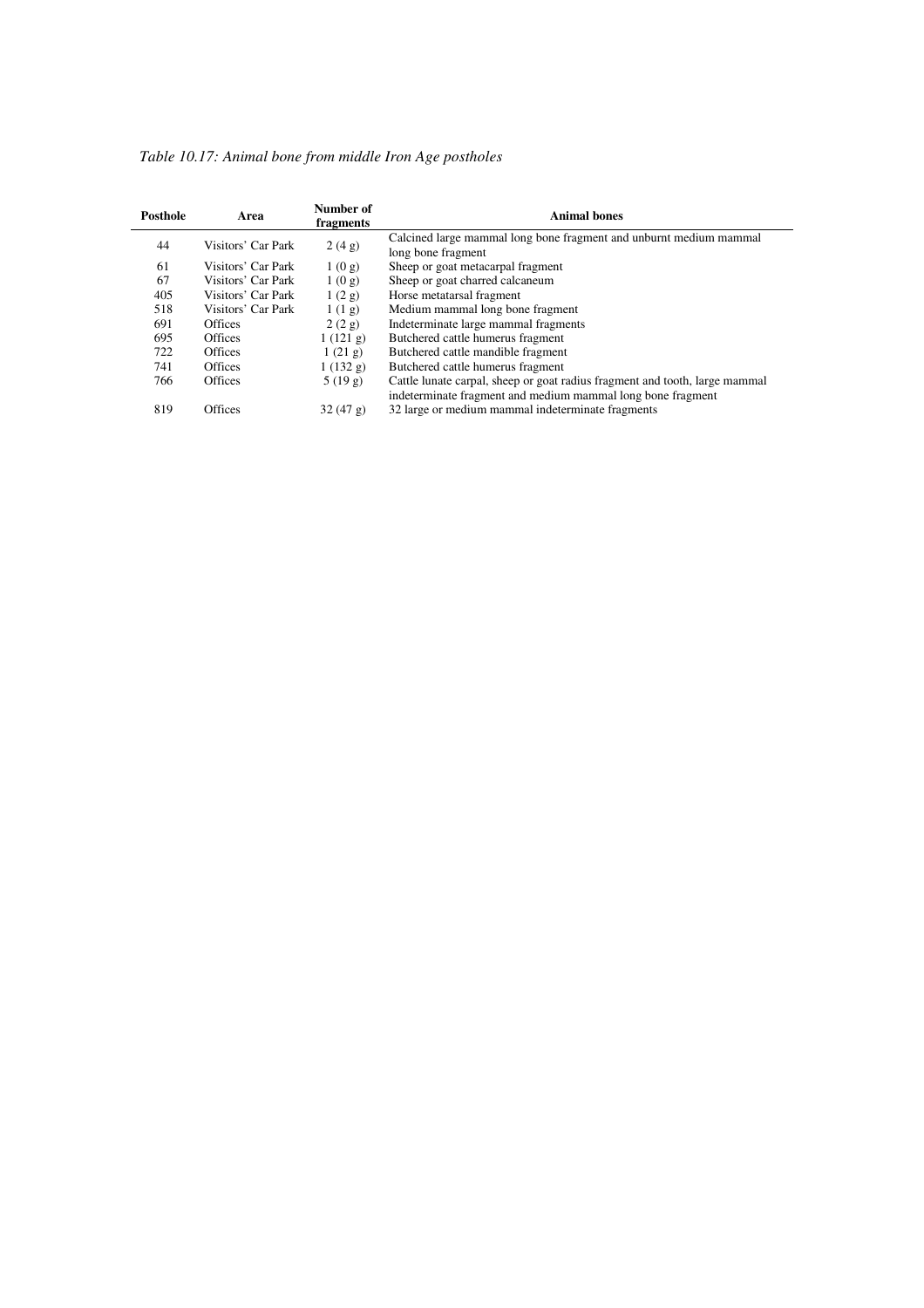| Table 10.17: Animal bone from middle Iron Age postholes |  |  |
|---------------------------------------------------------|--|--|
|                                                         |  |  |

| Posthole | Area               | Number of<br><b>Animal bones</b><br>fragments |                                                                                                                                            |  |  |  |  |  |  |  |
|----------|--------------------|-----------------------------------------------|--------------------------------------------------------------------------------------------------------------------------------------------|--|--|--|--|--|--|--|
| 44       | Visitors' Car Park | 2(4g)                                         | Calcined large mammal long bone fragment and unburnt medium mammal<br>long bone fragment                                                   |  |  |  |  |  |  |  |
| 61       | Visitors' Car Park | 1(0g)                                         | Sheep or goat metacarpal fragment                                                                                                          |  |  |  |  |  |  |  |
| 67       | Visitors' Car Park | 1(0g)                                         | Sheep or goat charred calcaneum                                                                                                            |  |  |  |  |  |  |  |
| 405      | Visitors' Car Park | 1(2g)                                         | Horse metatarsal fragment                                                                                                                  |  |  |  |  |  |  |  |
| 518      | Visitors' Car Park | 1(1g)                                         | Medium mammal long bone fragment                                                                                                           |  |  |  |  |  |  |  |
| 691      | Offices            | 2(2g)                                         | Indeterminate large mammal fragments                                                                                                       |  |  |  |  |  |  |  |
| 695      | <b>Offices</b>     | 1(121 g)                                      | Butchered cattle humerus fragment                                                                                                          |  |  |  |  |  |  |  |
| 722      | <b>Offices</b>     | 1(21 g)                                       | Butchered cattle mandible fragment                                                                                                         |  |  |  |  |  |  |  |
| 741      | <b>Offices</b>     | 1(132 g)                                      | Butchered cattle humerus fragment                                                                                                          |  |  |  |  |  |  |  |
| 766      | Offices            | 5(19g)                                        | Cattle lunate carpal, sheep or goat radius fragment and tooth, large mammal<br>indeterminate fragment and medium mammal long bone fragment |  |  |  |  |  |  |  |
| 819      | <b>Offices</b>     | 32(47 g)                                      | 32 large or medium mammal indeterminate fragments                                                                                          |  |  |  |  |  |  |  |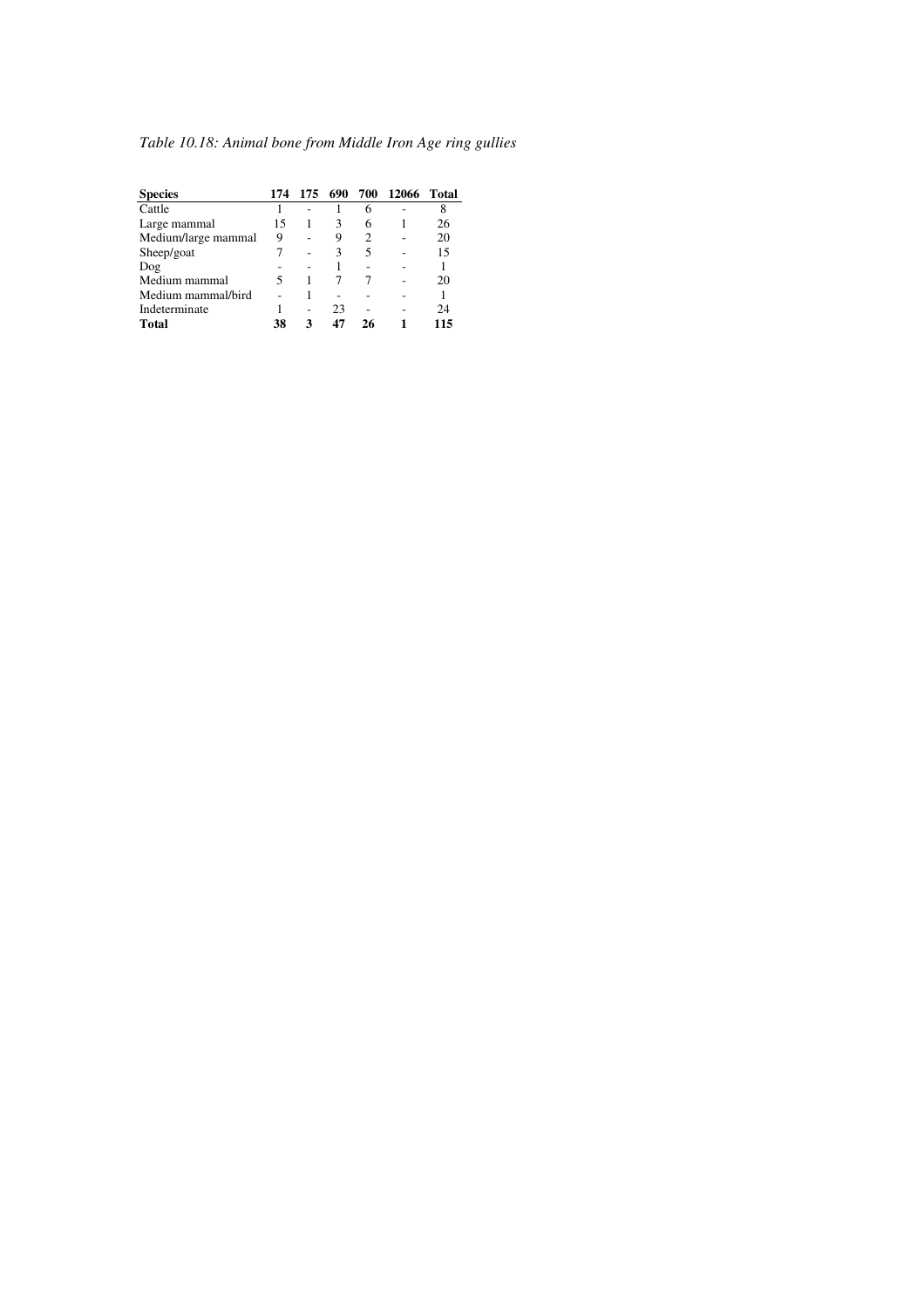| <b>Species</b>      | 174 | 175 | 690 | 700 | 12066 | Total |
|---------------------|-----|-----|-----|-----|-------|-------|
| Cattle              |     |     |     | 6   |       | 8     |
| Large mammal        | 15  |     | 3   | 6   |       | 26    |
| Medium/large mammal | 9   |     | 9   | 2   |       | 20    |
| Sheep/goat          |     |     | 3   | 5   |       | 15    |
| Dog                 |     |     |     |     |       |       |
| Medium mammal       |     |     |     |     |       | 20    |
| Medium mammal/bird  |     |     |     |     |       |       |
| Indeterminate       |     |     | 23  |     |       | 24    |
| <b>Total</b>        | 38  | З   | 47  | 26  |       | 115   |

*Table 10.18: Animal bone from Middle Iron Age ring gullies*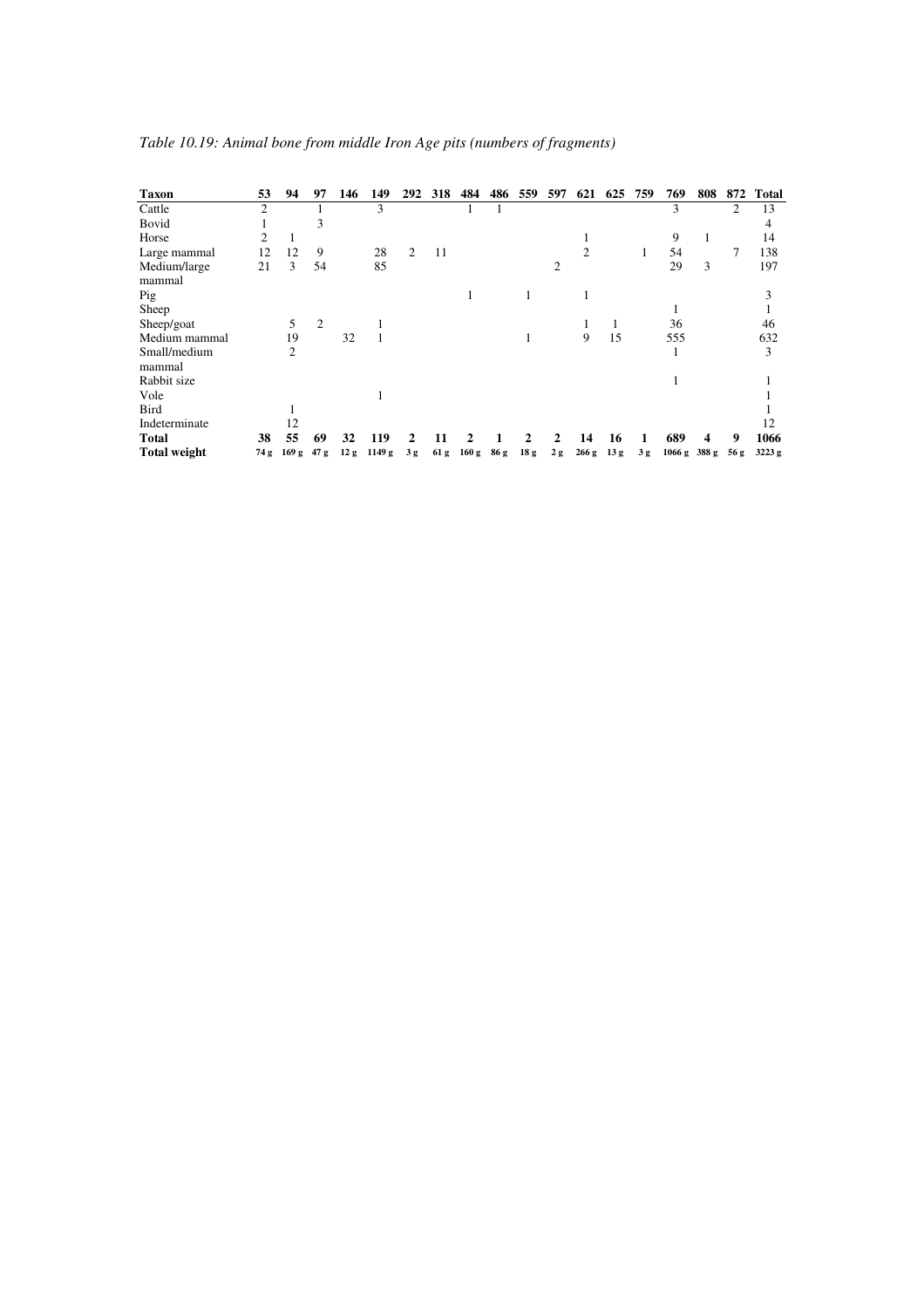| <b>Taxon</b>           | 53             | 94    | 97             | 146 | 149    | 292 | 318  | 484   | 486  | 559             | 597            | 621   | 625             | 759 | 769    | 808   | 872  | Total  |
|------------------------|----------------|-------|----------------|-----|--------|-----|------|-------|------|-----------------|----------------|-------|-----------------|-----|--------|-------|------|--------|
| Cattle                 | $\overline{2}$ |       |                |     | 3      |     |      |       |      |                 |                |       |                 |     | 3      |       | 2    | 13     |
| Bovid                  |                |       | 3              |     |        |     |      |       |      |                 |                |       |                 |     |        |       |      | 4      |
| Horse                  | $\overline{c}$ | 1     |                |     |        |     |      |       |      |                 |                |       |                 |     | 9      | 1     |      | 14     |
| Large mammal           | 12             | 12    | 9              |     | 28     | 2   | 11   |       |      |                 |                | 2     |                 | 1   | 54     |       | 7    | 138    |
| Medium/large<br>mammal | 21             | 3     | 54             |     | 85     |     |      |       |      |                 | $\overline{2}$ |       |                 |     | 29     | 3     |      | 197    |
| Pig                    |                |       |                |     |        |     |      | 1     |      |                 |                |       |                 |     |        |       |      | 3      |
| Sheep                  |                |       |                |     |        |     |      |       |      |                 |                |       |                 |     |        |       |      |        |
| Sheep/goat             |                | 5     | $\overline{2}$ |     |        |     |      |       |      |                 |                |       |                 |     | 36     |       |      | 46     |
| Medium mammal          |                | 19    |                | 32  |        |     |      |       |      |                 |                | 9     | 15              |     | 555    |       |      | 632    |
| Small/medium<br>mammal |                | 2     |                |     |        |     |      |       |      |                 |                |       |                 |     | 1      |       |      | 3      |
| Rabbit size            |                |       |                |     |        |     |      |       |      |                 |                |       |                 |     |        |       |      |        |
| Vole                   |                |       |                |     |        |     |      |       |      |                 |                |       |                 |     |        |       |      |        |
| <b>Bird</b>            |                |       |                |     |        |     |      |       |      |                 |                |       |                 |     |        |       |      |        |
| Indeterminate          |                | 12    |                |     |        |     |      |       |      |                 |                |       |                 |     |        |       |      | 12     |
| <b>Total</b>           | 38             | 55    | 69             | 32  | 119    |     |      | 7     |      |                 | $\mathbf{2}$   | 14    | 16              |     | 689    | 4     | 9    | 1066   |
| <b>Total weight</b>    | 74 g           | 169 g | 47 g           | 12g | 1149 g | 3g  | 61 g | 160 g | 86 g | 18 <sub>g</sub> | 2g             | 266 g | 13 <sub>g</sub> | 3g  | 1066 g | 388 g | 56 g | 3223 g |

*Table 10.19: Animal bone from middle Iron Age pits (numbers of fragments)*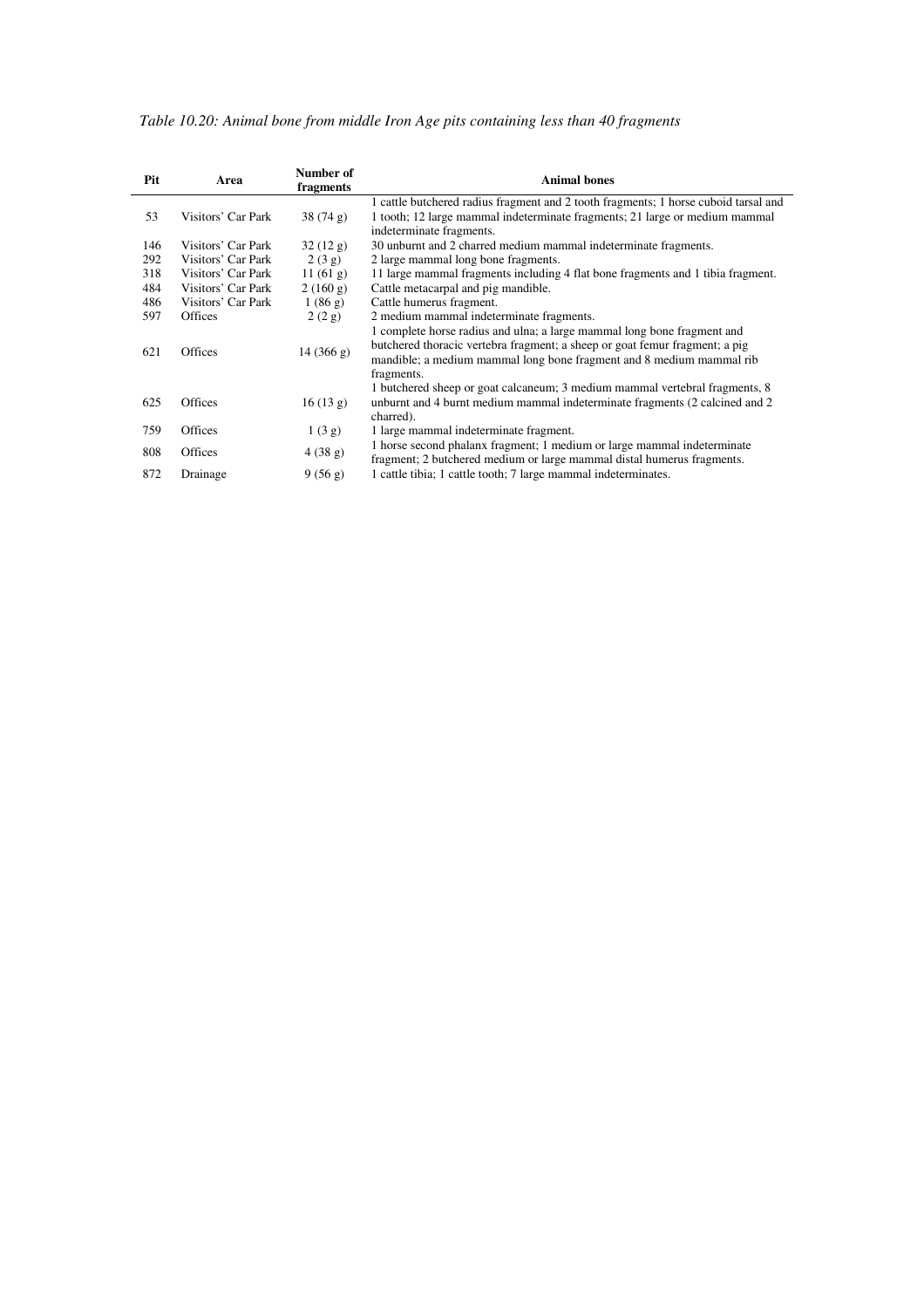| Table 10.20: Animal bone from middle Iron Age pits containing less than 40 fragments |  |  |  |  |  |  |  |  |  |  |  |  |  |  |
|--------------------------------------------------------------------------------------|--|--|--|--|--|--|--|--|--|--|--|--|--|--|
|--------------------------------------------------------------------------------------|--|--|--|--|--|--|--|--|--|--|--|--|--|--|

| Pit | Area               | Number of<br>fragments | <b>Animal bones</b>                                                                                                                                                                                                                          |  |  |  |  |  |
|-----|--------------------|------------------------|----------------------------------------------------------------------------------------------------------------------------------------------------------------------------------------------------------------------------------------------|--|--|--|--|--|
| 53  | Visitors' Car Park | 38(74 g)               | 1 cattle butchered radius fragment and 2 tooth fragments; 1 horse cuboid tarsal and<br>1 tooth; 12 large mammal indeterminate fragments; 21 large or medium mammal<br>indeterminate fragments.                                               |  |  |  |  |  |
| 146 | Visitors' Car Park | 32(12 g)               | 30 unburnt and 2 charred medium mammal indeterminate fragments.                                                                                                                                                                              |  |  |  |  |  |
| 292 | Visitors' Car Park | 2(3g)                  | 2 large mammal long bone fragments.                                                                                                                                                                                                          |  |  |  |  |  |
| 318 | Visitors' Car Park | 11(61 g)               | 11 large mammal fragments including 4 flat bone fragments and 1 tibia fragment.                                                                                                                                                              |  |  |  |  |  |
| 484 | Visitors' Car Park | 2(160 g)               | Cattle metacarpal and pig mandible.                                                                                                                                                                                                          |  |  |  |  |  |
| 486 | Visitors' Car Park | 1(86 g)                | Cattle humerus fragment.                                                                                                                                                                                                                     |  |  |  |  |  |
| 597 | <b>Offices</b>     | 2(2g)                  | 2 medium mammal indeterminate fragments.                                                                                                                                                                                                     |  |  |  |  |  |
| 621 | <b>Offices</b>     | 14(366 g)              | 1 complete horse radius and ulna; a large mammal long bone fragment and<br>butchered thoracic vertebra fragment; a sheep or goat femur fragment; a pig<br>mandible; a medium mammal long bone fragment and 8 medium mammal rib<br>fragments. |  |  |  |  |  |
| 625 | <b>Offices</b>     | 16(13 g)               | 1 butchered sheep or goat calcaneum; 3 medium mammal vertebral fragments, 8<br>unburnt and 4 burnt medium mammal indeterminate fragments (2 calcined and 2)<br>charred).                                                                     |  |  |  |  |  |
| 759 | <b>Offices</b>     | 1(3g)                  | 1 large mammal indeterminate fragment.                                                                                                                                                                                                       |  |  |  |  |  |
| 808 | <b>Offices</b>     | 4(38 g)                | 1 horse second phalanx fragment; 1 medium or large mammal indeterminate<br>fragment; 2 butchered medium or large mammal distal humerus fragments.                                                                                            |  |  |  |  |  |
| 872 | Drainage           | 9(56 g)                | 1 cattle tibia; 1 cattle tooth; 7 large mammal indeterminates.                                                                                                                                                                               |  |  |  |  |  |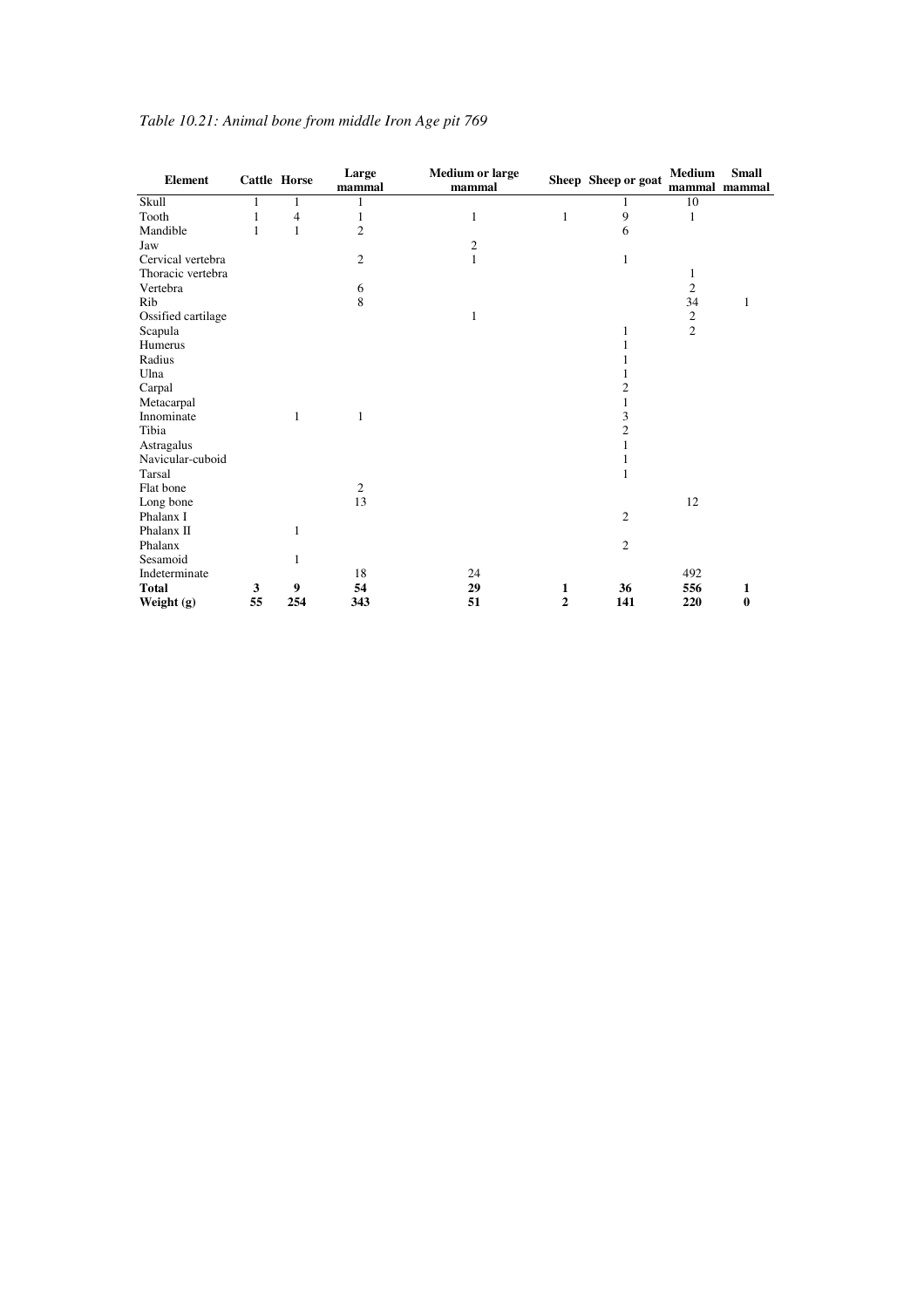| <b>Element</b>     |    | <b>Cattle Horse</b> | Large<br>mammal | <b>Medium or large</b><br>mammal |                | Sheep Sheep or goat | Medium<br>mammal mammal | <b>Small</b> |
|--------------------|----|---------------------|-----------------|----------------------------------|----------------|---------------------|-------------------------|--------------|
| Skull              | 1  | 1                   | 1               |                                  |                | 1                   | 10                      |              |
| Tooth              | 1  | $\overline{4}$      | 1               | 1                                | 1              | 9                   | 1                       |              |
| Mandible           | 1  | $\mathbf{1}$        | $\overline{c}$  |                                  |                | 6                   |                         |              |
| Jaw                |    |                     |                 | $\mathfrak{2}$                   |                |                     |                         |              |
| Cervical vertebra  |    |                     | $\overline{2}$  | $\mathbf{1}$                     |                | 1                   |                         |              |
| Thoracic vertebra  |    |                     |                 |                                  |                |                     | 1                       |              |
| Vertebra           |    |                     | 6               |                                  |                |                     | $\overline{c}$          |              |
| Rib                |    |                     | 8               |                                  |                |                     | 34                      | 1            |
| Ossified cartilage |    |                     |                 | 1                                |                |                     | $\mathbf{2}$            |              |
| Scapula            |    |                     |                 |                                  |                | 1                   | $\overline{c}$          |              |
| Humerus            |    |                     |                 |                                  |                | 1                   |                         |              |
| Radius             |    |                     |                 |                                  |                |                     |                         |              |
| Ulna               |    |                     |                 |                                  |                |                     |                         |              |
| Carpal             |    |                     |                 |                                  |                | $\overline{2}$      |                         |              |
| Metacarpal         |    |                     |                 |                                  |                | 1                   |                         |              |
| Innominate         |    | 1                   | 1               |                                  |                | 3                   |                         |              |
| Tibia              |    |                     |                 |                                  |                | $\overline{c}$      |                         |              |
| Astragalus         |    |                     |                 |                                  |                |                     |                         |              |
| Navicular-cuboid   |    |                     |                 |                                  |                |                     |                         |              |
| Tarsal             |    |                     |                 |                                  |                | 1                   |                         |              |
| Flat bone          |    |                     | $\mathfrak{2}$  |                                  |                |                     |                         |              |
| Long bone          |    |                     | 13              |                                  |                |                     | 12                      |              |
| Phalanx I          |    |                     |                 |                                  |                | $\overline{c}$      |                         |              |
| Phalanx II         |    | 1                   |                 |                                  |                |                     |                         |              |
| Phalanx            |    |                     |                 |                                  |                | $\mathfrak{2}$      |                         |              |
| Sesamoid           |    | 1                   |                 |                                  |                |                     |                         |              |
| Indeterminate      |    |                     | 18              | 24                               |                |                     | 492                     |              |
| <b>Total</b>       | 3  | 9                   | 54              | 29                               | 1              | 36                  | 556                     | 1            |
| Weight $(g)$       | 55 | 254                 | 343             | 51                               | $\overline{2}$ | 141                 | 220                     | 0            |

# *Table 10.21: Animal bone from middle Iron Age pit 769*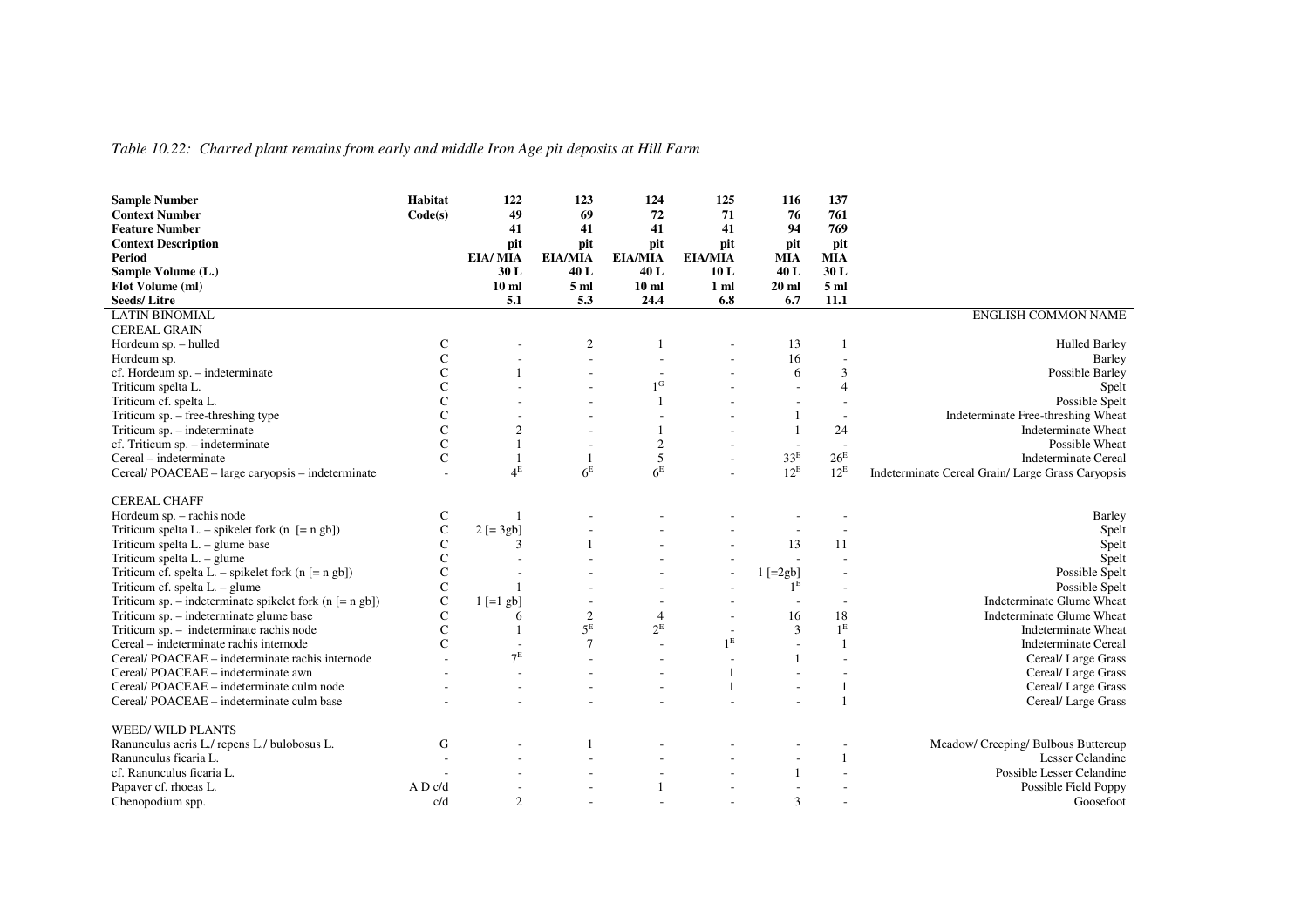#### *Table 10.22: Charred plant remains from early and middle Iron Age pit deposits at Hill Farm*

| <b>Sample Number</b>                                                                                          | Habitat        | 122              | 123              | 124              | 125                      | 116                      | 137             |                                                                                                           |
|---------------------------------------------------------------------------------------------------------------|----------------|------------------|------------------|------------------|--------------------------|--------------------------|-----------------|-----------------------------------------------------------------------------------------------------------|
| <b>Context Number</b>                                                                                         | Code(s)        | 49               | 69               | 72               | 71                       | 76                       | 761             |                                                                                                           |
| <b>Feature Number</b>                                                                                         |                | 41               | 41               | 41               | 41                       | 94                       | 769             |                                                                                                           |
| <b>Context Description</b>                                                                                    |                | pit              | pit              | pit              | pit                      | pit                      | pit             |                                                                                                           |
| Period                                                                                                        |                | EIA/MIA          | <b>EIA/MIA</b>   | <b>EIA/MIA</b>   | <b>EIA/MIA</b>           | <b>MIA</b>               | <b>MIA</b>      |                                                                                                           |
| Sample Volume (L.)                                                                                            |                | 30L              | 40L              | 40L              | 10L                      | 40L                      | 30L             |                                                                                                           |
| Flot Volume (ml)                                                                                              |                | 10 <sub>ml</sub> | 5 <sub>m</sub>   | 10 <sub>ml</sub> | 1 ml                     | 20 <sub>ml</sub>         | 5 <sub>ml</sub> |                                                                                                           |
| <b>Seeds/Litre</b>                                                                                            |                | 5.1              | 5.3              | 24.4             | 6.8                      | 6.7                      | 11.1            |                                                                                                           |
| <b>LATIN BINOMIAL</b>                                                                                         |                |                  |                  |                  |                          |                          |                 | <b>ENGLISH COMMON NAME</b>                                                                                |
| <b>CEREAL GRAIN</b>                                                                                           |                |                  |                  |                  |                          |                          |                 |                                                                                                           |
| Hordeum sp. - hulled                                                                                          | C              |                  | $\boldsymbol{2}$ |                  | $\overline{\phantom{a}}$ | 13                       |                 | <b>Hulled Barley</b>                                                                                      |
| Hordeum sp.                                                                                                   | $\mathbf C$    |                  |                  |                  |                          | 16                       |                 | Barley                                                                                                    |
| cf. Hordeum sp. - indeterminate                                                                               | C              |                  |                  | ÷                |                          | 6                        | 3               | Possible Barley                                                                                           |
| Triticum spelta L.                                                                                            | C              |                  |                  | $1^{\rm G}$      |                          |                          | $\overline{4}$  | Spelt                                                                                                     |
| Triticum cf. spelta L.                                                                                        | $\mathcal{C}$  |                  |                  |                  |                          |                          |                 | Possible Spelt                                                                                            |
| Triticum sp. – free-threshing type                                                                            | C              |                  |                  |                  |                          |                          |                 | Indeterminate Free-threshing Wheat                                                                        |
| Triticum sp. - indeterminate                                                                                  | C              | $\mathfrak{D}$   |                  |                  |                          |                          | 24              | Indeterminate Wheat                                                                                       |
| cf. Triticum sp. - indeterminate                                                                              | $\overline{C}$ |                  |                  | $\overline{2}$   |                          | $\overline{\phantom{a}}$ |                 | Possible Wheat                                                                                            |
| Cereal – indeterminate                                                                                        | $\mathbf C$    |                  | 1                | 5                |                          | $33^{\rm E}$             | $26^{\rm E}$    | <b>Indeterminate Cereal</b>                                                                               |
| Cereal/POACEAE - large caryopsis - indeterminate                                                              |                | $4^E$            | 6 <sup>E</sup>   | 6 <sup>E</sup>   |                          | $12^E$                   | $12^E$          | Indeterminate Cereal Grain/ Large Grass Caryopsis                                                         |
|                                                                                                               |                |                  |                  |                  |                          |                          |                 |                                                                                                           |
| <b>CEREAL CHAFF</b>                                                                                           |                |                  |                  |                  |                          |                          |                 |                                                                                                           |
| Hordeum sp. - rachis node                                                                                     | C              |                  |                  |                  |                          |                          |                 | <b>Barley</b>                                                                                             |
| Triticum spelta L. – spikelet fork (n $[=ngb]$ )                                                              | $\mathsf{C}$   | $2$ [= $3gb$ ]   |                  |                  |                          |                          |                 | Spelt                                                                                                     |
| Triticum spelta L. - glume base                                                                               | C              | 3                |                  |                  |                          | 13                       | 11              | Spelt                                                                                                     |
| Triticum spelta $L -$ glume                                                                                   | $\mathsf{C}$   |                  |                  |                  |                          | $\sim$                   |                 | Spelt                                                                                                     |
| Triticum cf. spelta L. – spikelet fork ( $n$ [= $n$ gb])                                                      | $\mathbf C$    |                  |                  |                  |                          | $1$ [=2gb]               |                 | Possible Spelt                                                                                            |
| Triticum cf. spelta $L - g$ lume                                                                              | C              |                  |                  |                  |                          | 1 <sup>E</sup>           |                 | Possible Spelt                                                                                            |
| Triticum sp. – indeterminate spikelet fork ( $n$ [= $n$ gb])                                                  | $\mathsf{C}$   | $1$ [=1 gb]      |                  |                  |                          | $\overline{a}$           |                 | Indeterminate Glume Wheat                                                                                 |
| Triticum sp. – indeterminate glume base                                                                       | C              | 6                | $\overline{2}$   | $\overline{4}$   |                          | 16                       | 18              | Indeterminate Glume Wheat                                                                                 |
| Triticum sp. - indeterminate rachis node                                                                      | $\overline{C}$ |                  | $5^E$            | $2^E$            |                          | 3                        | 1 <sup>E</sup>  | Indeterminate Wheat                                                                                       |
| Cereal – indeterminate rachis internode                                                                       | C              |                  | $\overline{7}$   |                  | 1 <sup>E</sup>           |                          |                 | <b>Indeterminate Cereal</b>                                                                               |
| Cereal/POACEAE - indeterminate rachis internode                                                               |                | 7 <sup>E</sup>   |                  |                  |                          |                          |                 | Cereal/ Large Grass                                                                                       |
| Cereal/POACEAE - indeterminate awn                                                                            |                |                  |                  |                  |                          |                          |                 | Cereal/ Large Grass                                                                                       |
|                                                                                                               |                |                  |                  |                  |                          |                          |                 |                                                                                                           |
|                                                                                                               |                |                  |                  |                  |                          |                          |                 |                                                                                                           |
| <b>WEED/ WILD PLANTS</b>                                                                                      |                |                  |                  |                  |                          |                          |                 |                                                                                                           |
| Ranunculus acris L./ repens L./ bulobosus L.                                                                  | G              |                  |                  |                  |                          |                          |                 |                                                                                                           |
| Ranunculus ficaria L.                                                                                         |                |                  |                  |                  |                          |                          |                 | Lesser Celandine                                                                                          |
| cf. Ranunculus ficaria L.                                                                                     |                |                  |                  |                  |                          | $\mathbf{1}$             |                 | Possible Lesser Celandine                                                                                 |
|                                                                                                               | A D c/d        |                  |                  |                  |                          |                          |                 |                                                                                                           |
| Chenopodium spp.                                                                                              | c/d            | 2                |                  |                  |                          | 3                        |                 | Goosefoot                                                                                                 |
| Cereal/POACEAE – indeterminate culm node<br>Cereal/POACEAE - indeterminate culm base<br>Papaver cf. rhoeas L. |                |                  |                  |                  |                          |                          | $\mathbf{1}$    | Cereal/ Large Grass<br>Cereal/ Large Grass<br>Meadow/ Creeping/ Bulbous Buttercup<br>Possible Field Poppy |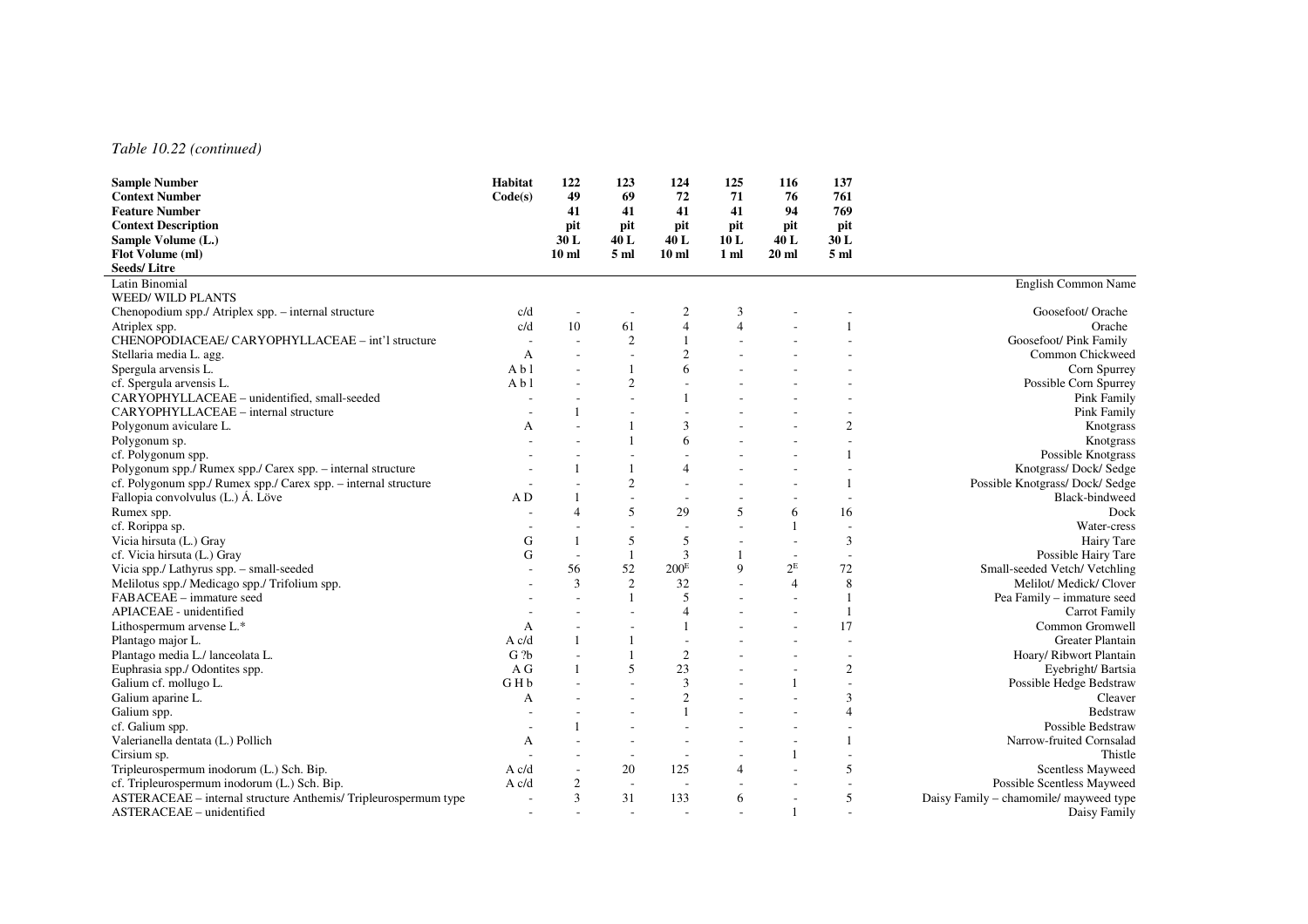#### *Table 10.22 (continued)*

| <b>Sample Number</b>                                            | Habitat                  | 122             | 123                      | 124                      | 125                      | 116            | 137             |                                        |
|-----------------------------------------------------------------|--------------------------|-----------------|--------------------------|--------------------------|--------------------------|----------------|-----------------|----------------------------------------|
| <b>Context Number</b>                                           | Code(s)                  | 49              | 69                       | 72                       | 71                       | 76             | 761             |                                        |
| <b>Feature Number</b>                                           |                          | 41              | 41                       | 41                       | 41                       | 94             | 769             |                                        |
| <b>Context Description</b>                                      |                          | pit             | pit                      | pit                      | pit                      | pit            | pit             |                                        |
| Sample Volume (L.)                                              |                          | 30L             | 40 L                     | 40 L                     | 10L                      | 40 L           | 30 L            |                                        |
| Flot Volume (ml)                                                |                          | 10 <sub>m</sub> | 5 <sub>m</sub>           | 10 <sub>ml</sub>         | 1 <sub>m</sub>           | $20$ ml        | 5 <sub>m1</sub> |                                        |
| <b>Seeds/Litre</b>                                              |                          |                 |                          |                          |                          |                |                 |                                        |
| Latin Binomial                                                  |                          |                 |                          |                          |                          |                |                 | English Common Name                    |
| <b>WEED/ WILD PLANTS</b>                                        |                          |                 |                          |                          |                          |                |                 |                                        |
| Chenopodium spp./ Atriplex spp. – internal structure            | c/d                      |                 |                          | 2                        | 3                        |                |                 | Goosefoot/ Orache                      |
| Atriplex spp.                                                   | c/d                      | 10              | 61                       | $\overline{\mathcal{A}}$ | $\Delta$                 |                |                 | Orache                                 |
| CHENOPODIACEAE/ CARYOPHYLLACEAE - int'l structure               | $\overline{\phantom{a}}$ |                 | $\mathfrak{2}$           |                          |                          |                |                 | Goosefoot/ Pink Family                 |
| Stellaria media L. agg.                                         | A                        |                 |                          | $\overline{2}$           |                          |                |                 | Common Chickweed                       |
| Spergula arvensis L.                                            | A b1                     |                 |                          | 6                        |                          |                |                 | Corn Spurrey                           |
| cf. Spergula arvensis L.                                        | A b1                     |                 | $\overline{2}$           |                          |                          |                |                 | Possible Corn Spurrey                  |
| CARYOPHYLLACEAE - unidentified, small-seeded                    |                          |                 |                          |                          |                          |                |                 | <b>Pink Family</b>                     |
| CARYOPHYLLACEAE - internal structure                            |                          |                 |                          |                          |                          |                |                 | Pink Family                            |
| Polygonum aviculare L.                                          | A                        |                 |                          | 3                        |                          |                | $\overline{2}$  | Knotgrass                              |
| Polygonum sp.                                                   |                          |                 |                          | 6                        |                          |                |                 | Knotgrass                              |
| cf. Polygonum spp.                                              |                          |                 |                          |                          |                          |                |                 | Possible Knotgrass                     |
| Polygonum spp./ Rumex spp./ Carex spp. - internal structure     |                          |                 |                          | $\overline{4}$           |                          |                |                 | Knotgrass/Dock/Sedge                   |
| cf. Polygonum spp./ Rumex spp./ Carex spp. - internal structure |                          |                 | $\overline{2}$           |                          |                          |                |                 | Possible Knotgrass/ Dock/ Sedge        |
| Fallopia convolvulus (L.) Á. Löve                               | A D                      |                 | $\sim$                   |                          |                          |                |                 | Black-bindweed                         |
| Rumex spp.                                                      |                          | $\overline{4}$  | 5                        | 29                       | $\overline{\phantom{0}}$ | 6              | 16              | Dock                                   |
| cf. Rorippa sp.                                                 |                          |                 |                          |                          |                          |                |                 | Water-cress                            |
| Vicia hirsuta (L.) Gray                                         | G                        | 1               | 5                        | 5                        |                          |                | 3               | Hairy Tare                             |
| cf. Vicia hirsuta (L.) Gray                                     | G                        | $\sim$          | $\mathbf{1}$             | 3                        |                          |                |                 | Possible Hairy Tare                    |
| Vicia spp./ Lathyrus spp. - small-seeded                        |                          | 56              | 52                       | $200^{\rm E}$            | $\mathbf Q$              | $2^E$          | 72              | Small-seeded Vetch/ Vetchling          |
| Melilotus spp./ Medicago spp./ Trifolium spp.                   |                          | 3               | 2                        | 32                       |                          | $\overline{4}$ | 8               | Melilot/ Medick/ Clover                |
| FABACEAE - immature seed                                        |                          |                 |                          | $\overline{\phantom{0}}$ |                          |                | $\overline{1}$  | Pea Family - immature seed             |
| APIACEAE - unidentified                                         |                          |                 |                          | $\overline{\mathcal{A}}$ |                          |                |                 | <b>Carrot Family</b>                   |
| Lithospermum arvense L.*                                        | A                        |                 |                          |                          |                          |                | 17              | Common Gromwell                        |
| Plantago major L.                                               | A c/d                    | 1               | 1                        |                          |                          |                |                 | <b>Greater Plantain</b>                |
| Plantago media L./ lanceolata L.                                | G <sub>2b</sub>          |                 |                          | $\overline{c}$           |                          |                |                 | Hoary/ Ribwort Plantain                |
| Euphrasia spp./ Odontites spp.                                  | A G                      |                 | 5                        | 23                       |                          |                | $\overline{2}$  | Eyebright/Bartsia                      |
| Galium cf. mollugo L.                                           | GHb                      |                 | $\sim$                   | 3                        |                          |                |                 | Possible Hedge Bedstraw                |
| Galium aparine L.                                               | A                        |                 |                          | $\overline{c}$           |                          |                | 3               | Cleaver                                |
| Galium spp.                                                     |                          |                 |                          |                          |                          |                | $\overline{4}$  | <b>Bedstraw</b>                        |
| cf. Galium spp.                                                 |                          |                 |                          |                          |                          |                |                 | Possible Bedstraw                      |
| Valerianella dentata (L.) Pollich                               | А                        |                 | $\sim$                   |                          |                          |                |                 | Narrow-fruited Cornsalad               |
| Cirsium sp.                                                     |                          |                 |                          |                          |                          |                |                 | Thistle                                |
| Tripleurospermum inodorum (L.) Sch. Bip.                        | A c/d                    |                 | 20                       | 125                      | $\overline{4}$           |                | 5               | <b>Scentless Mayweed</b>               |
| cf. Tripleurospermum inodorum (L.) Sch. Bip.                    | A c/d                    | 2               | $\sim$                   | $\overline{\phantom{a}}$ |                          |                |                 | <b>Possible Scentless Mayweed</b>      |
| ASTERACEAE – internal structure Anthemis/Tripleurospermum type  |                          | 3               | 31                       | 133                      | 6                        |                | 5               | Daisy Family – chamomile/ mayweed type |
| ASTERACEAE - unidentified                                       | $\overline{a}$           |                 | $\overline{\phantom{a}}$ |                          |                          | 1              |                 | Daisy Family                           |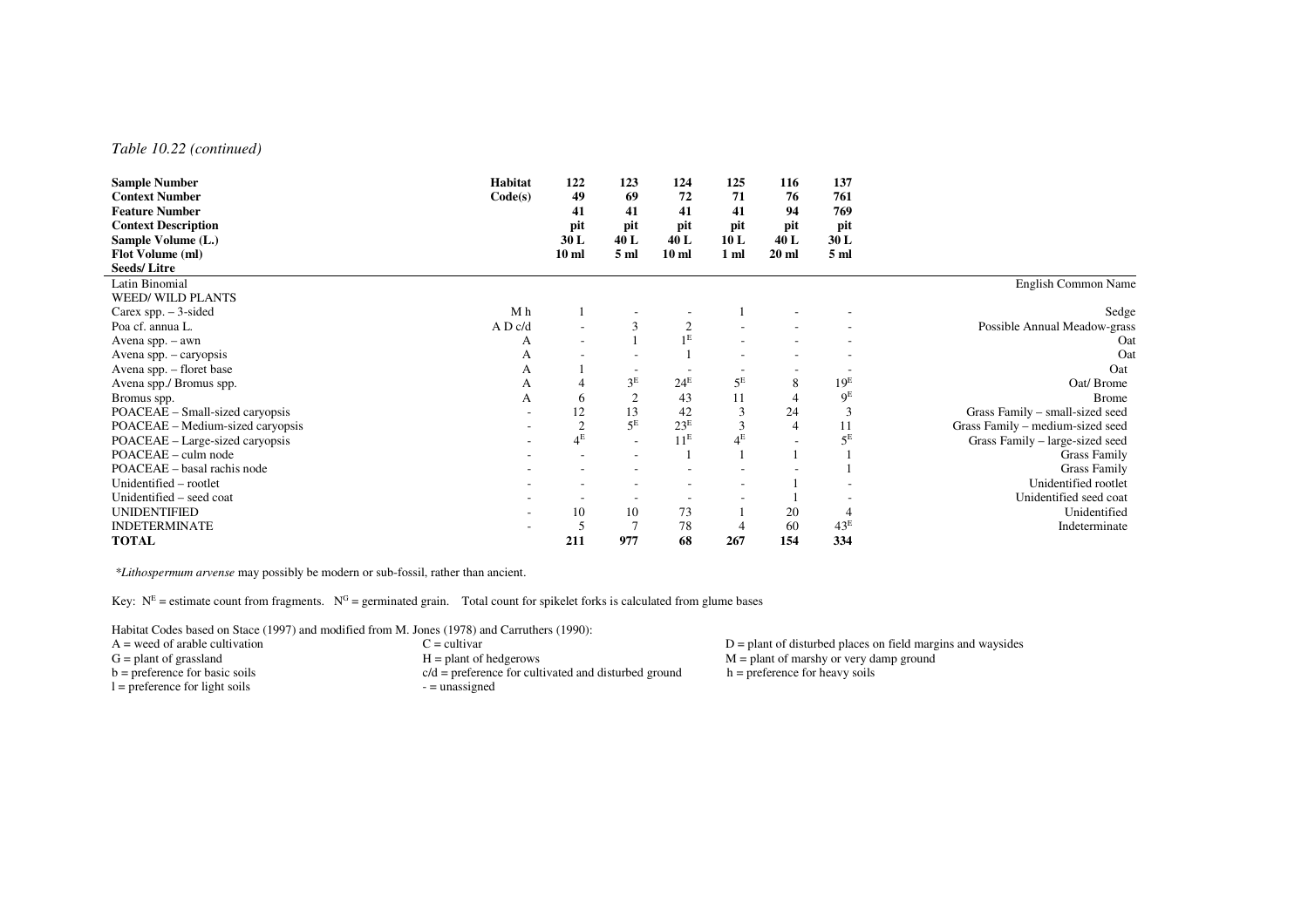#### *Table 10.22 (continued)*

| Habitat                  | 122                      | 123            | 124                           | 125                                                  | 116                  | 137             |                                  |
|--------------------------|--------------------------|----------------|-------------------------------|------------------------------------------------------|----------------------|-----------------|----------------------------------|
| Code(s)                  | 49                       | 69             | 72                            | 71                                                   | 76                   | 761             |                                  |
|                          | 41                       | 41             | 41                            | 41                                                   | 94                   | 769             |                                  |
|                          | pit                      | pit            | pit                           | pit                                                  | pit                  | pit             |                                  |
|                          | 30L                      | 40 L           | 40L                           | 10L                                                  | 40 L                 | 30L             |                                  |
|                          | 10 <sub>ml</sub>         | 5 ml           | 10 <sub>ml</sub>              | 1 <sub>m</sub>                                       | $20$ ml              | 5 ml            |                                  |
|                          |                          |                |                               |                                                      |                      |                 |                                  |
|                          |                          |                |                               |                                                      |                      |                 | English Common Name              |
|                          |                          |                |                               |                                                      |                      |                 |                                  |
| M h                      |                          |                |                               |                                                      |                      |                 | Sedge                            |
| A D c/d                  | $\overline{\phantom{a}}$ | 3              |                               |                                                      |                      |                 | Possible Annual Meadow-grass     |
| A                        | $\overline{\phantom{a}}$ |                |                               |                                                      |                      |                 | Oat                              |
| A                        |                          |                |                               |                                                      |                      |                 | Oat                              |
| A                        |                          |                |                               |                                                      |                      |                 | Oat                              |
| A                        |                          |                | $24^E$                        |                                                      | 8                    | 19 <sup>E</sup> | Oat/Brome                        |
| А                        | 6                        | $\overline{2}$ | 43                            | 11                                                   | 4                    |                 | <b>Brome</b>                     |
| $\overline{\phantom{a}}$ | 12                       | 13             | 42                            | 3                                                    | 24                   | 3               | Grass Family - small-sized seed  |
|                          | $\overline{2}$           |                |                               | $\mathfrak{Z}$                                       | 4                    | 11              | Grass Family - medium-sized seed |
|                          |                          | $\sim$         |                               |                                                      |                      |                 | Grass Family - large-sized seed  |
|                          | $\overline{\phantom{a}}$ |                |                               |                                                      |                      |                 | <b>Grass Family</b>              |
|                          | ٠                        |                |                               |                                                      |                      |                 | <b>Grass Family</b>              |
|                          | $\overline{\phantom{a}}$ |                |                               |                                                      |                      |                 | Unidentified rootlet             |
|                          |                          |                |                               |                                                      |                      |                 | Unidentified seed coat           |
|                          | 10                       | 10             | 73                            |                                                      | 20                   |                 | Unidentified                     |
|                          |                          | $\overline{7}$ | 78                            |                                                      | 60                   | 43 <sup>E</sup> | Indeterminate                    |
|                          | 211                      | 977            | 68                            | 267                                                  | 154                  | 334             |                                  |
|                          |                          | $4^E$          | 3 <sup>E</sup><br>$5^{\rm E}$ | 1 <sup>E</sup><br>23 <sup>E</sup><br>11 <sup>E</sup> | $5^{\rm E}$<br>$4^E$ |                 | 9 <sup>E</sup><br>$5^E$          |

 *\*Lithospermum arvense* may possibly be modern or sub-fossil, rather than ancient.

Key:  $N<sup>E</sup>$  = estimate count from fragments.  $N<sup>G</sup>$  = germinated grain. Total count for spikelet forks is calculated from glume bases

Habitat Codes based on Stace (1997) and modified from M. Jones (1978) and Carruthers (1990):<br>A = weed of arable cultivation  $C =$  cultivar

- 
- $l =$  preference for light soils
- $G =$  plant of grassland  $H =$  plant of hedgerows  $M =$  plant of marshy or very damp ground b = preference for basic soils  $c/d =$  preference for cultivated and disturbed ground h = preference for heavy soils  $c/d$  = preference for cultivated and disturbed ground h = preference for heavy soils - = unassigned

A = weed of arable cultivation C = cultivar C = cultivar C = cultivar D = plant of disturbed places on field margins and waysides G = plant of grassland M = plant of marshy or very damp ground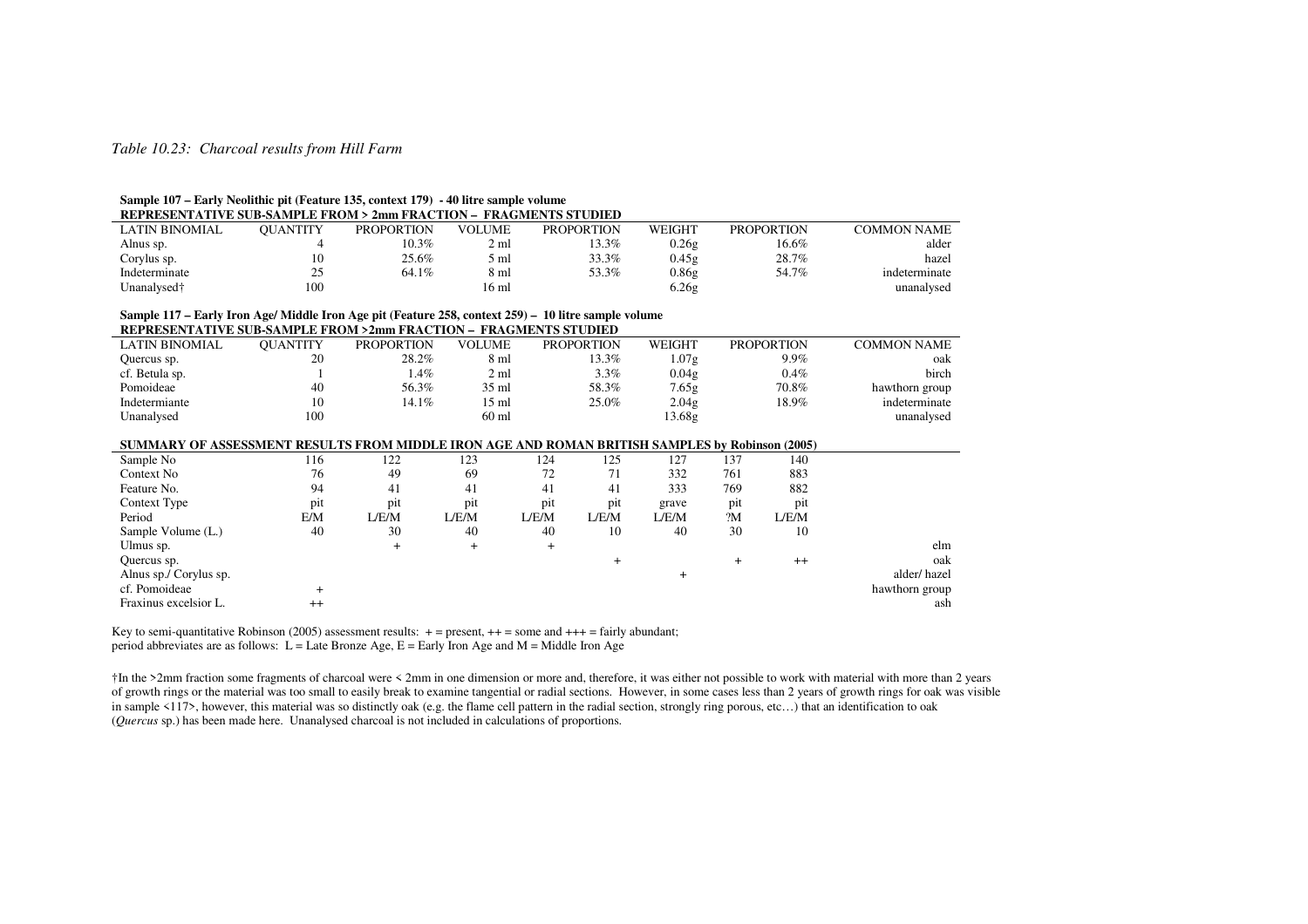#### *Table 10.23: Charcoal results from Hill Farm*

#### **Sample 107 – Early Neolithic pit (Feature 135, context 179) - 40 litre sample volume**

| REPRESENTATIVE SUB-SAMPLE FROM > 2mm FRACTION - FRAGMENTS STUDIED |                 |                   |               |                   |               |                   |                    |  |  |  |  |  |  |
|-------------------------------------------------------------------|-----------------|-------------------|---------------|-------------------|---------------|-------------------|--------------------|--|--|--|--|--|--|
| LATIN BINOMIAL                                                    | <b>OUANTITY</b> | <b>PROPORTION</b> | <b>VOLUME</b> | <b>PROPORTION</b> | <b>WEIGHT</b> | <b>PROPORTION</b> | <b>COMMON NAME</b> |  |  |  |  |  |  |
| Alnus sp.                                                         |                 | 10.3%             | 2 ml          | 13.3%             | 0.26g         | 16.6%             | alder              |  |  |  |  |  |  |
| Corylus sp.                                                       | 10              | 25.6%             | 5 ml          | 33.3%             | 0.45g         | 28.7%             | hazel              |  |  |  |  |  |  |
| Indeterminate                                                     | 25              | 64.1%             | 8 ml          | 53.3%             | 0.86g         | 54.7%             | indeterminate      |  |  |  |  |  |  |
| Unanalysed†                                                       | 100             |                   | 16 ml         |                   | 6.26g         |                   | unanalysed         |  |  |  |  |  |  |

# **Sample 117 – Early Iron Age/ Middle Iron Age pit (Feature 258, context 259) – 10 litre sample volume**

| REPRESENTATIVE SUB-SAMPLE FROM >2mm FRACTION - FRAGMENTS STUDIED |                 |                   |                 |                   |               |                   |                |  |  |  |  |  |  |
|------------------------------------------------------------------|-----------------|-------------------|-----------------|-------------------|---------------|-------------------|----------------|--|--|--|--|--|--|
| LATIN BINOMIAL                                                   | <b>OUANTITY</b> | <b>PROPORTION</b> | <b>VOLUME</b>   | <b>PROPORTION</b> | <b>WEIGHT</b> | <b>PROPORTION</b> | COMMON NAME    |  |  |  |  |  |  |
| Quercus sp.                                                      | 20              | 28.2%             | 8 ml            | 13.3%             | 1.07g         | 9.9%              | oak            |  |  |  |  |  |  |
| cf. Betula sp.                                                   |                 | $1.4\%$           | 2 ml            | $3.3\%$           | 0.04g         | $0.4\%$           | birch          |  |  |  |  |  |  |
| Pomoideae                                                        | 40              | 56.3%             | $35 \text{ ml}$ | 58.3%             | 7.65g         | 70.8%             | hawthorn group |  |  |  |  |  |  |
| Indetermiante                                                    |                 | $14.1\%$          | 15 ml           | 25.0%             | 2.04g         | 18.9%             | indeterminate  |  |  |  |  |  |  |
| Unanalysed                                                       | 100             |                   | $60$ ml         |                   | 13.68g        |                   | unanalysed     |  |  |  |  |  |  |

#### **SUMMARY OF ASSESSMENT RESULTS FROM MIDDLE IRON AGE AND ROMAN BRITISH SAMPLES by Robinson (2005)**

|         |       |       |                |       |       |     | .       |                |
|---------|-------|-------|----------------|-------|-------|-----|---------|----------------|
| 116     | 122   | 123   | 124            | 125   | 127   | 137 | 140     |                |
| 76      | 49    | 69    | 72             | 71    | 332   | 761 | 883     |                |
| 94      | 41    | 41    | 41             | 41    | 333   | 769 | 882     |                |
| pit     | pit   | pit   | pit            | pit   | grave | pit | pit     |                |
| E/M     | L/E/M | L/E/M | L/E/M          | L/E/M | L/E/M | 2M  | L/E/M   |                |
| 40      | 30    | 40    | 40             | 10    | 40    | 30  | 10      |                |
|         | +     | $^+$  | $\overline{+}$ |       |       |     |         | elm            |
|         |       |       |                | +     |       |     | $^{++}$ | oak            |
|         |       |       |                |       |       |     |         | alder/hazel    |
|         |       |       |                |       |       |     |         | hawthorn group |
| $^{++}$ |       |       |                |       |       |     |         | ash            |
|         |       |       |                |       |       |     |         |                |

Key to semi-quantitative Robinson (2005) assessment results:  $+$  = present,  $++$  = some and  $+++$  = fairly abundant; period abbreviates are as follows:  $L =$  Late Bronze Age,  $E =$  Early Iron Age and  $M =$  Middle Iron Age

†In the >2mm fraction some fragments of charcoal were < 2mm in one dimension or more and, therefore, it was either not possible to work with material with more than 2 years of growth rings or the material was too small to easily break to examine tangential or radial sections. However, in some cases less than 2 years of growth rings for oak was visible in sample <117>, however, this material was so distinctly oak (e.g. the flame cell pattern in the radial section, strongly ring porous, etc...) that an identification to oak (*Quercus* sp.) has been made here. Unanalysed charcoal is not included in calculations of proportions.